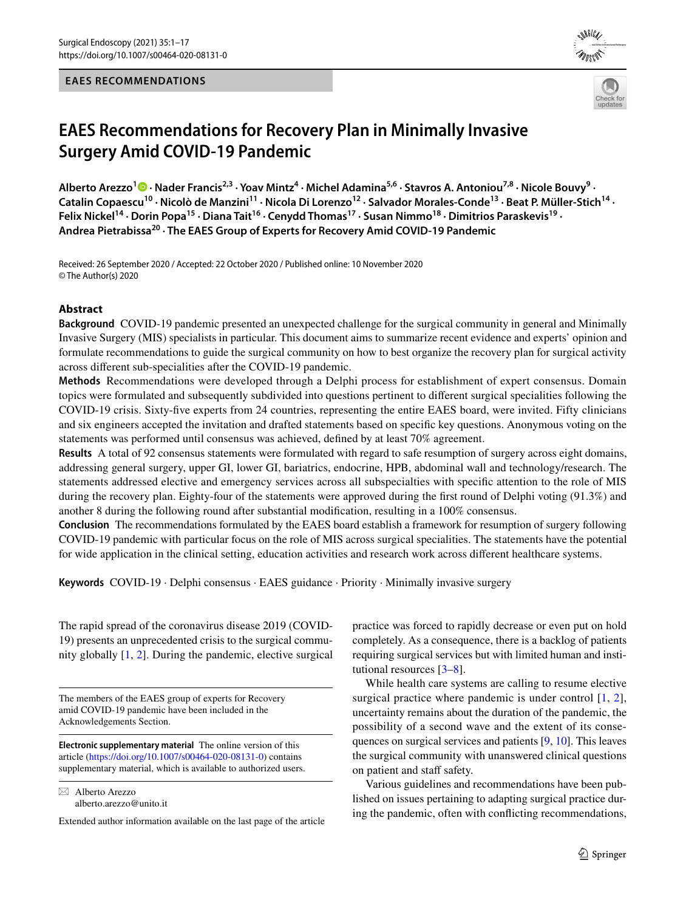#### **EAES RECOMMENDATIONS**





# **EAES Recommendations for Recovery Plan in Minimally Invasive Surgery Amid COVID‑19 Pandemic**

Alberto Arezzo<sup>1</sup> <sup>1</sup> [·](http://orcid.org/0000-0002-2110-4082) Nader Francis<sup>2,3</sup> · Yoav Mintz<sup>4</sup> · Michel Adamina<sup>5,6</sup> · Stavros A. Antoniou<sup>7,8</sup> · Nicole Bouvy<sup>9</sup> · Catalin Copaescu<sup>10</sup> · Nicolò de Manzini<sup>11</sup> · Nicola Di Lorenzo<sup>12</sup> · Salvador Morales-Conde<sup>13</sup> · Beat P. Müller-Stich<sup>14</sup> · Felix Nickel<sup>14</sup> · Dorin Popa<sup>15</sup> · Diana Tait<sup>16</sup> · Cenydd Thomas<sup>17</sup> · Susan Nimmo<sup>18</sup> · Dimitrios Paraskevis<sup>19</sup> · **Andrea Pietrabissa20 · The EAES Group of Experts for Recovery Amid COVID-19 Pandemic**

Received: 26 September 2020 / Accepted: 22 October 2020 / Published online: 10 November 2020 © The Author(s) 2020

## **Abstract**

**Background** COVID-19 pandemic presented an unexpected challenge for the surgical community in general and Minimally Invasive Surgery (MIS) specialists in particular. This document aims to summarize recent evidence and experts' opinion and formulate recommendations to guide the surgical community on how to best organize the recovery plan for surgical activity across diferent sub-specialities after the COVID-19 pandemic.

**Methods** Recommendations were developed through a Delphi process for establishment of expert consensus. Domain topics were formulated and subsequently subdivided into questions pertinent to diferent surgical specialities following the COVID-19 crisis. Sixty-fve experts from 24 countries, representing the entire EAES board, were invited. Fifty clinicians and six engineers accepted the invitation and drafted statements based on specifc key questions. Anonymous voting on the statements was performed until consensus was achieved, defned by at least 70% agreement.

**Results** A total of 92 consensus statements were formulated with regard to safe resumption of surgery across eight domains, addressing general surgery, upper GI, lower GI, bariatrics, endocrine, HPB, abdominal wall and technology/research. The statements addressed elective and emergency services across all subspecialties with specifc attention to the role of MIS during the recovery plan. Eighty-four of the statements were approved during the frst round of Delphi voting (91.3%) and another 8 during the following round after substantial modifcation, resulting in a 100% consensus.

**Conclusion** The recommendations formulated by the EAES board establish a framework for resumption of surgery following COVID-19 pandemic with particular focus on the role of MIS across surgical specialities. The statements have the potential for wide application in the clinical setting, education activities and research work across diferent healthcare systems.

**Keywords** COVID-19 · Delphi consensus · EAES guidance · Priority · Minimally invasive surgery

The rapid spread of the coronavirus disease 2019 (COVID-19) presents an unprecedented crisis to the surgical community globally [\[1](#page-15-0), [2\]](#page-15-1). During the pandemic, elective surgical

The members of the EAES group of experts for Recovery amid COVID-19 pandemic have been included in the Acknowledgements Section.

**Electronic supplementary material** The online version of this article [\(https://doi.org/10.1007/s00464-020-08131-0\)](https://doi.org/10.1007/s00464-020-08131-0) contains supplementary material, which is available to authorized users.

 $\boxtimes$  Alberto Arezzo alberto.arezzo@unito.it

Extended author information available on the last page of the article

practice was forced to rapidly decrease or even put on hold completely. As a consequence, there is a backlog of patients requiring surgical services but with limited human and institutional resources [[3–](#page-15-2)[8\]](#page-15-3).

While health care systems are calling to resume elective surgical practice where pandemic is under control  $[1, 2]$  $[1, 2]$  $[1, 2]$  $[1, 2]$ , uncertainty remains about the duration of the pandemic, the possibility of a second wave and the extent of its consequences on surgical services and patients [[9,](#page-15-4) [10](#page-15-5)]. This leaves the surgical community with unanswered clinical questions on patient and staff safety.

Various guidelines and recommendations have been published on issues pertaining to adapting surgical practice during the pandemic, often with conficting recommendations,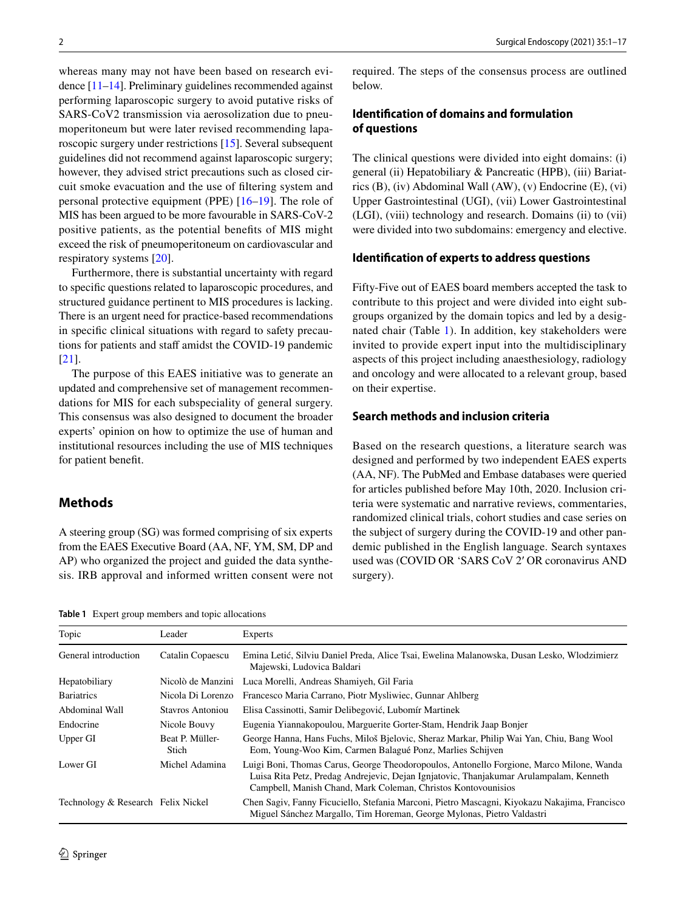whereas many may not have been based on research evidence [\[11](#page-15-6)[–14](#page-15-7)]. Preliminary guidelines recommended against performing laparoscopic surgery to avoid putative risks of SARS-CoV2 transmission via aerosolization due to pneumoperitoneum but were later revised recommending laparoscopic surgery under restrictions [[15\]](#page-15-8). Several subsequent guidelines did not recommend against laparoscopic surgery; however, they advised strict precautions such as closed circuit smoke evacuation and the use of fltering system and personal protective equipment (PPE) [[16](#page-15-9)[–19](#page-15-10)]. The role of MIS has been argued to be more favourable in SARS-CoV-2 positive patients, as the potential benefts of MIS might exceed the risk of pneumoperitoneum on cardiovascular and respiratory systems [\[20](#page-15-11)].

Furthermore, there is substantial uncertainty with regard to specifc questions related to laparoscopic procedures, and structured guidance pertinent to MIS procedures is lacking. There is an urgent need for practice-based recommendations in specifc clinical situations with regard to safety precautions for patients and staff amidst the COVID-19 pandemic [\[21\]](#page-15-12).

The purpose of this EAES initiative was to generate an updated and comprehensive set of management recommendations for MIS for each subspeciality of general surgery. This consensus was also designed to document the broader experts' opinion on how to optimize the use of human and institutional resources including the use of MIS techniques for patient beneft.

# **Methods**

A steering group (SG) was formed comprising of six experts from the EAES Executive Board (AA, NF, YM, SM, DP and AP) who organized the project and guided the data synthesis. IRB approval and informed written consent were not required. The steps of the consensus process are outlined below.

# **Identifcation of domains and formulation of questions**

The clinical questions were divided into eight domains: (i) general (ii) Hepatobiliary & Pancreatic (HPB), (iii) Bariatrics (B), (iv) Abdominal Wall (AW), (v) Endocrine (E), (vi) Upper Gastrointestinal (UGI), (vii) Lower Gastrointestinal (LGI), (viii) technology and research. Domains (ii) to (vii) were divided into two subdomains: emergency and elective.

#### **Identifcation of experts to address questions**

Fifty-Five out of EAES board members accepted the task to contribute to this project and were divided into eight subgroups organized by the domain topics and led by a designated chair (Table [1\)](#page-1-0). In addition, key stakeholders were invited to provide expert input into the multidisciplinary aspects of this project including anaesthesiology, radiology and oncology and were allocated to a relevant group, based on their expertise.

## **Search methods and inclusion criteria**

Based on the research questions, a literature search was designed and performed by two independent EAES experts (AA, NF). The PubMed and Embase databases were queried for articles published before May 10th, 2020. Inclusion criteria were systematic and narrative reviews, commentaries, randomized clinical trials, cohort studies and case series on the subject of surgery during the COVID-19 and other pandemic published in the English language. Search syntaxes used was (COVID OR 'SARS CoV 2′ OR coronavirus AND surgery).

<span id="page-1-0"></span>**Table 1** Expert group members and topic allocations

| $\ldots$                           |                          |                                                                                                                                                                                                                                                     |
|------------------------------------|--------------------------|-----------------------------------------------------------------------------------------------------------------------------------------------------------------------------------------------------------------------------------------------------|
| Topic                              | Leader                   | Experts                                                                                                                                                                                                                                             |
| General introduction               | Catalin Copaescu         | Emina Letić, Silviu Daniel Preda, Alice Tsai, Ewelina Malanowska, Dusan Lesko, Wlodzimierz<br>Majewski, Ludovica Baldari                                                                                                                            |
| Hepatobiliary                      | Nicolò de Manzini        | Luca Morelli, Andreas Shamiyeh, Gil Faria                                                                                                                                                                                                           |
| <b>Bariatrics</b>                  | Nicola Di Lorenzo        | Francesco Maria Carrano, Piotr Mysliwiec, Gunnar Ahlberg                                                                                                                                                                                            |
| Abdominal Wall                     | Stavros Antoniou         | Elisa Cassinotti, Samir Delibegović, Lubomír Martinek                                                                                                                                                                                               |
| Endocrine                          | Nicole Bouvy             | Eugenia Yiannakopoulou, Marguerite Gorter-Stam, Hendrik Jaap Bonjer                                                                                                                                                                                 |
| Upper GI                           | Beat P. Müller-<br>Stich | George Hanna, Hans Fuchs, Miloš Bjelovic, Sheraz Markar, Philip Wai Yan, Chiu, Bang Wool<br>Eom, Young-Woo Kim, Carmen Balagué Ponz, Marlies Schijven                                                                                               |
| Lower GI                           | Michel Adamina           | Luigi Boni, Thomas Carus, George Theodoropoulos, Antonello Forgione, Marco Milone, Wanda<br>Luisa Rita Petz, Predag Andrejevic, Dejan Ignjatovic, Thanjakumar Arulampalam, Kenneth<br>Campbell, Manish Chand, Mark Coleman, Christos Kontovounisios |
| Technology & Research Felix Nickel |                          | Chen Sagiv, Fanny Ficuciello, Stefania Marconi, Pietro Mascagni, Kiyokazu Nakajima, Francisco<br>Miguel Sánchez Margallo, Tim Horeman, George Mylonas, Pietro Valdastri                                                                             |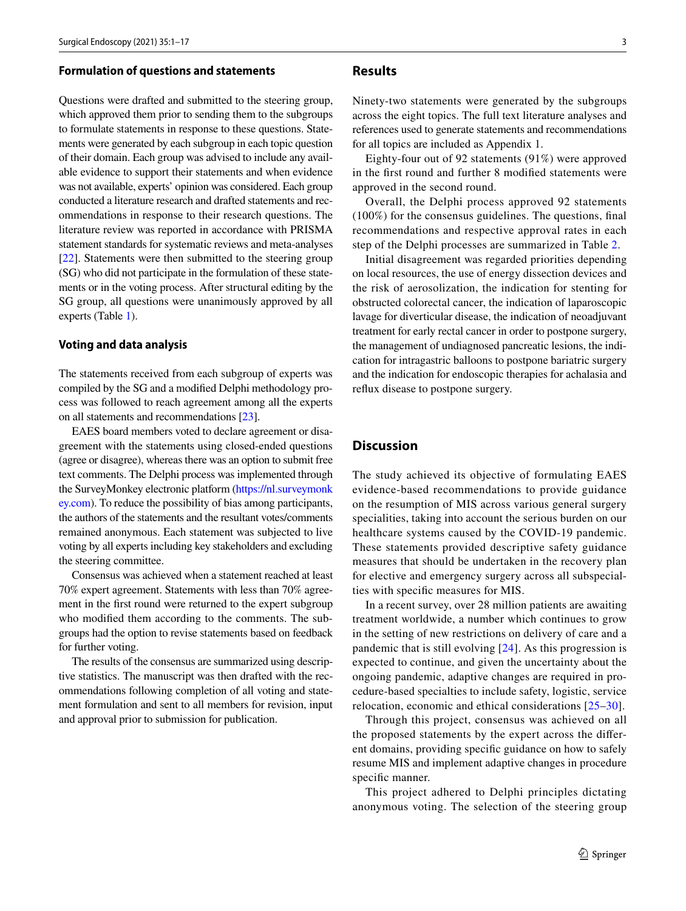#### **Formulation of questions and statements**

# Questions were drafted and submitted to the steering group, which approved them prior to sending them to the subgroups to formulate statements in response to these questions. Statements were generated by each subgroup in each topic question of their domain. Each group was advised to include any available evidence to support their statements and when evidence was not available, experts' opinion was considered. Each group conducted a literature research and drafted statements and recommendations in response to their research questions. The literature review was reported in accordance with PRISMA statement standards for systematic reviews and meta-analyses [\[22](#page-15-13)]. Statements were then submitted to the steering group (SG) who did not participate in the formulation of these statements or in the voting process. After structural editing by the SG group, all questions were unanimously approved by all experts (Table [1\)](#page-1-0).

#### **Voting and data analysis**

The statements received from each subgroup of experts was compiled by the SG and a modifed Delphi methodology process was followed to reach agreement among all the experts on all statements and recommendations [\[23](#page-15-14)].

EAES board members voted to declare agreement or disagreement with the statements using closed-ended questions (agree or disagree), whereas there was an option to submit free text comments. The Delphi process was implemented through the SurveyMonkey electronic platform [\(https://nl.surveymonk](https://nl.surveymonkey.com) [ey.com\)](https://nl.surveymonkey.com). To reduce the possibility of bias among participants, the authors of the statements and the resultant votes/comments remained anonymous. Each statement was subjected to live voting by all experts including key stakeholders and excluding the steering committee.

Consensus was achieved when a statement reached at least 70% expert agreement. Statements with less than 70% agreement in the frst round were returned to the expert subgroup who modifed them according to the comments. The subgroups had the option to revise statements based on feedback for further voting.

The results of the consensus are summarized using descriptive statistics. The manuscript was then drafted with the recommendations following completion of all voting and statement formulation and sent to all members for revision, input and approval prior to submission for publication.

#### **Results**

Ninety-two statements were generated by the subgroups across the eight topics. The full text literature analyses and references used to generate statements and recommendations for all topics are included as Appendix 1.

Eighty-four out of 92 statements (91%) were approved in the frst round and further 8 modifed statements were approved in the second round.

Overall, the Delphi process approved 92 statements (100%) for the consensus guidelines. The questions, fnal recommendations and respective approval rates in each step of the Delphi processes are summarized in Table [2](#page-3-0).

Initial disagreement was regarded priorities depending on local resources, the use of energy dissection devices and the risk of aerosolization, the indication for stenting for obstructed colorectal cancer, the indication of laparoscopic lavage for diverticular disease, the indication of neoadjuvant treatment for early rectal cancer in order to postpone surgery, the management of undiagnosed pancreatic lesions, the indication for intragastric balloons to postpone bariatric surgery and the indication for endoscopic therapies for achalasia and refux disease to postpone surgery.

# **Discussion**

The study achieved its objective of formulating EAES evidence-based recommendations to provide guidance on the resumption of MIS across various general surgery specialities, taking into account the serious burden on our healthcare systems caused by the COVID-19 pandemic. These statements provided descriptive safety guidance measures that should be undertaken in the recovery plan for elective and emergency surgery across all subspecialties with specifc measures for MIS.

In a recent survey, over 28 million patients are awaiting treatment worldwide, a number which continues to grow in the setting of new restrictions on delivery of care and a pandemic that is still evolving [\[24](#page-15-15)]. As this progression is expected to continue, and given the uncertainty about the ongoing pandemic, adaptive changes are required in procedure-based specialties to include safety, logistic, service relocation, economic and ethical considerations [[25](#page-15-16)[–30\]](#page-16-0).

Through this project, consensus was achieved on all the proposed statements by the expert across the diferent domains, providing specifc guidance on how to safely resume MIS and implement adaptive changes in procedure specific manner.

This project adhered to Delphi principles dictating anonymous voting. The selection of the steering group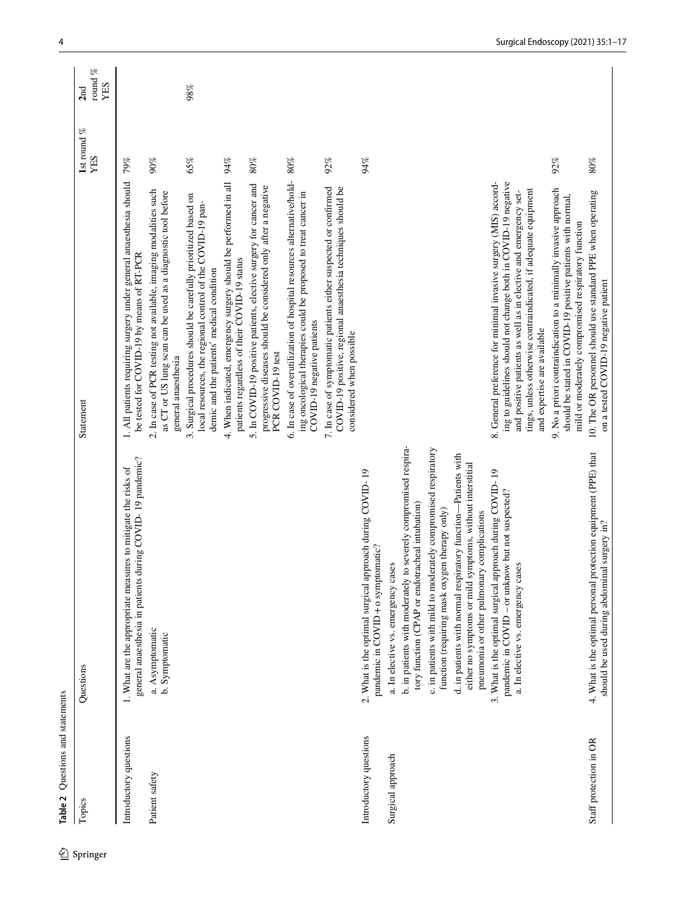<span id="page-3-0"></span>

|                        | Questions                                                                                                                                                                | Statement                                                                                                                                                                                                                                                                                             | 1st round %<br>YES | round<br>YES<br>2nd |
|------------------------|--------------------------------------------------------------------------------------------------------------------------------------------------------------------------|-------------------------------------------------------------------------------------------------------------------------------------------------------------------------------------------------------------------------------------------------------------------------------------------------------|--------------------|---------------------|
| Introductory questions | during COVID-19 pandemic?<br>1. What are the appropriate measures to mitigate the risks of<br>general anaesthesia in patients                                            | 1. All patients requiring surgery under general anaesthesia should<br>be tested for COVID-19 by means of RT-PCR                                                                                                                                                                                       | 79%                |                     |
| Patient safety         | a. Asymptomatic<br>b. Symptomatic                                                                                                                                        | 2. In case of PCR testing not available, imaging modalities such<br>as CT or US lung scan can be used as a diagnostic tool before<br>general anaesthesia                                                                                                                                              | 90%                |                     |
|                        |                                                                                                                                                                          | 3. Surgical procedures should be carefully prioritized based on<br>local resources, the regional control of the COVID-19 pan-<br>demic and the patients' medical condition                                                                                                                            | 65%                | 98%                 |
|                        |                                                                                                                                                                          | 4. When indicated, emergency surgery should be performed in all<br>patients regardless of their COVID-19 status                                                                                                                                                                                       | 94%                |                     |
|                        |                                                                                                                                                                          | 5. In COVID-19 positive patients, elective surgery for cancer and<br>progressive diseases should be considered only after a negative<br>PCR COVID-19 test                                                                                                                                             | 80%                |                     |
|                        |                                                                                                                                                                          | 6. In case of overutilization of hospital resources alternative/hold-<br>ing oncological therapies could be proposed to treat cancer in<br>COVID-19 negative patients                                                                                                                                 | $80\%$             |                     |
|                        |                                                                                                                                                                          | 7. In case of symptomatic patients either suspected or confirmed<br>COVID-19 positive, regional anaesthesia techniques should be<br>considered when possible                                                                                                                                          | 92%                |                     |
| Introductory questions | 2. What is the optimal surgical approach during COVID-19<br>pandemic in COVID+0 symptomatic?                                                                             |                                                                                                                                                                                                                                                                                                       | 94%                |                     |
| Surgical approach      | a. In elective vs. emergency cases                                                                                                                                       |                                                                                                                                                                                                                                                                                                       |                    |                     |
|                        | b. in patients with moderately to severely compromised respira-<br>tory function (CPAP or endotracheal intubation)                                                       |                                                                                                                                                                                                                                                                                                       |                    |                     |
|                        | c. in patients with mild to moderately compromised respiratory<br>function (requiring mask oxygen therapy only)                                                          |                                                                                                                                                                                                                                                                                                       |                    |                     |
|                        | d. in patients with normal respiratory function—Patients with<br>either no symptoms or mild symptoms, without interstitial<br>pneumonia or other pulmonary complications |                                                                                                                                                                                                                                                                                                       |                    |                     |
|                        | 3. What is the optimal surgical approach during COVID-19<br>pandemic in COVID - or unknow but not suspected?<br>a. In elective vs. emergency cases                       | 8. General preference for minimal invasive surgery (MIS) accord-<br>ing to guidelines should not change both in COVID-19 negative<br>tings, unless otherwise contraindicated, if adequate equipment<br>and positive patients as well as in elective and emergency set-<br>and expertise are available |                    |                     |
|                        |                                                                                                                                                                          | 9. No a priori contraindication to a minimally invasive approach<br>should be stated in COVID-19 positive patients with normal,<br>mild or moderately compromised respiratory function                                                                                                                | 92%                |                     |
| Staff protection in OR | protection equipment (PPE) that<br>should be used during abdominal surgery in?<br>4. What is the optimal personal                                                        | 10. The OR personnel should use standard PPE when operating<br>on a tested COVID-19 negative patient                                                                                                                                                                                                  | $80\%$             |                     |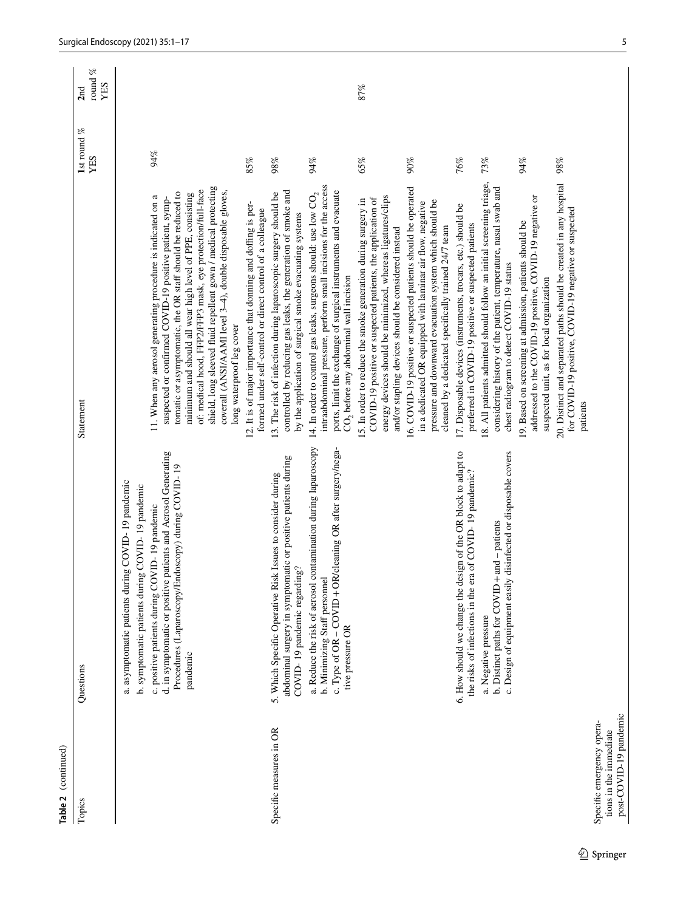| Table 2 (continued)                                                           |                                                                                                                                                                                                                                                                                                                                                 |                                                                                                                                                                                                                                                                                                                                                                                                                                                                                                                                                                                                            |                                   |                          |
|-------------------------------------------------------------------------------|-------------------------------------------------------------------------------------------------------------------------------------------------------------------------------------------------------------------------------------------------------------------------------------------------------------------------------------------------|------------------------------------------------------------------------------------------------------------------------------------------------------------------------------------------------------------------------------------------------------------------------------------------------------------------------------------------------------------------------------------------------------------------------------------------------------------------------------------------------------------------------------------------------------------------------------------------------------------|-----------------------------------|--------------------------|
| Topics                                                                        | Questions                                                                                                                                                                                                                                                                                                                                       | Statement                                                                                                                                                                                                                                                                                                                                                                                                                                                                                                                                                                                                  | $\mathcal{G}$<br>1st round<br>YES | round $\%$<br>YES<br>2nd |
|                                                                               | d. in symptomatic or positive patients and Aerosol Generating<br>Procedures (Laparoscopy/Endoscopy) during COVID-19<br>a. asymptomatic patients during COVID-19 pandemic<br>b. symptomatic patients during COVID-19 pandemic<br>c. positive patients during COVID-19 pandemic<br>pandemic                                                       | shield, long sleeved fluid repellent gown / medical protecting<br>of: medical hood, FFP2/FFP3 mask, eye protection/full-face<br>coverall (ANSI/AAMI level 3-4), double disposable gloves,<br>tomatic or asymptomatic, the OR staff should be reduced to<br>minimum and should all wear high level of PPE, consisting<br>11. When any aerosol generating procedure is indicated on a<br>suspected or confirmed COVID-19 positive patient, symp-<br>12. It is of major importance that doming and doffing is per-<br>formed under self-control or direct control of a colleague<br>long waterproof leg cover | 94%<br>85%                        |                          |
| Specific measures in OR                                                       | a. Reduce the risk of aerosol contamination during laparoscopy<br>b. Minimizing Staff personnel<br>c. Type of OR – COVID + OR/cleaning OR after surgery/nega-<br>abdominal surgery in symptomatic or positive patients during<br>5. Which Specific Operative Risk Issues to consider during<br>COVID-19 pandemic regarding?<br>tive pressure OR | intraabdominal pressure, perform small incisions for the access<br>ports, limit the exchange of surgical instruments and evacuate<br>controlled by reducing gas leaks, the generation of smoke and<br>14. In order to control gas leaks, surgeons should: use low $CO2$<br>13. The risk of infection during laparoscopic surgery should be<br>by the application of surgical smoke evacuating systems<br>CO <sub>2</sub> before any abdominal wall incision                                                                                                                                                | 98%<br>94%                        |                          |
|                                                                               |                                                                                                                                                                                                                                                                                                                                                 | 16. COVID-19 positive or suspected patients should be operated<br>energy devices should be minimized, whereas ligatures/clips<br>COVID-19 positive or suspected patients, the application of<br>15. In order to reduce the smoke generation during surgery in<br>pressure and downward evacuation system which should be<br>in a dedicated OR equipped with laminar air flow, negative<br>and/or stapling devices should be considered instead<br>cleaned by a dedicated specifically trained 24/7 team                                                                                                    | 65%<br>90%                        | 87%                      |
|                                                                               | 6. How should we change the design of the OR block to adapt to<br>disinfected or disposable covers<br>the risks of infections in the era of COVID-19 pandemic?<br>b. Distinct paths for COVID+and - patients<br>c. Design of equipment easily<br>a. Negative pressure                                                                           | 18. All patients admitted should follow an initial screening triage,<br>considering history of the patient, temperature, nasal swab and<br>17. Disposable devices (instruments, trocars, etc.) should be<br>preferred in COVID-19 positive or suspected patients<br>chest radiogram to detect COVID-19 status                                                                                                                                                                                                                                                                                              | 76%<br>73%                        |                          |
|                                                                               |                                                                                                                                                                                                                                                                                                                                                 | 20. Distinct and separated paths should be created in any hospital<br>addressed to the COVID-19 positive, COVID-19 negative or<br>for COVID-19 positive, COVID-19 negative or suspected<br>19. Based on screening at admission, patients should be<br>suspected unit, as for local organization<br>patients                                                                                                                                                                                                                                                                                                | 98%<br>94%                        |                          |
| post-COVID-19 pandemic<br>Specific emergency opera-<br>tions in the immediate |                                                                                                                                                                                                                                                                                                                                                 |                                                                                                                                                                                                                                                                                                                                                                                                                                                                                                                                                                                                            |                                   |                          |

 $\underline{\textcircled{\tiny 2}}$  Springer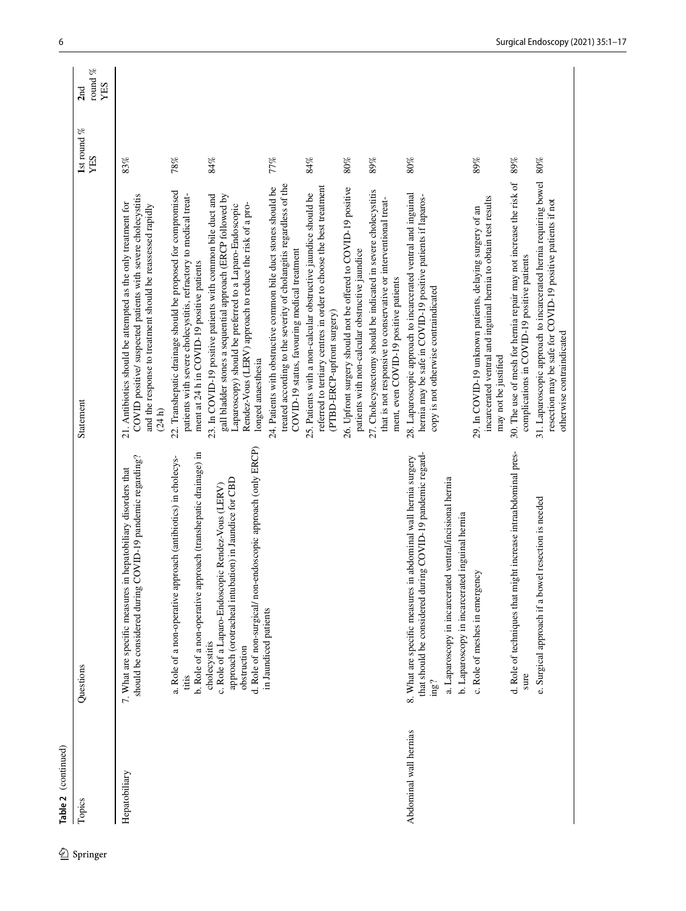|                        | Questions                                                                                                                                                                                                  | Statement                                                                                                                                                                                                                                                               | K<br>1st round<br>YES | round $%$<br>YES<br>2nd |
|------------------------|------------------------------------------------------------------------------------------------------------------------------------------------------------------------------------------------------------|-------------------------------------------------------------------------------------------------------------------------------------------------------------------------------------------------------------------------------------------------------------------------|-----------------------|-------------------------|
| Hepatobiliary          | should be considered during COVID-19 pandemic regarding?<br>obiliary disorders that<br>7. What are specific measures in hepato                                                                             | COVID positive/ suspected patients with severe cholecystitis<br>21. Antibiotics should be attempted as the only treatment for<br>and the response to treatment should be reassessed rapidly<br>(24h)                                                                    | 83%                   |                         |
|                        | (transhepatic drainage) in<br>antibiotics) in cholecys-<br>a. Role of a non-operative approach (<br>b. Role of a non-operative approach (                                                                  | 22. Transhepatic drainage should be proposed for compromised<br>patients with severe cholecystitis, refractory to medical treat-<br>ment at 24 h in COVID-19 positive patients                                                                                          | 78%                   |                         |
|                        | d. Role of non-surgical/ non-endoscopic approach (only ERCP)<br>approach (orotracheal intubation) in Jaundice for CBD<br>c. Role of a Laparo-Endoscopic Rendez-Vous (LERV)<br>cholecystitis<br>obstruction | gall bladder stones a sequential approach (ERCP followed by<br>23. In COVID-19 positive patients with common bile duct and<br>Rendez-Vous (LERV) approach to reduce the risk of a pro-<br>Laparoscopy) should be preferred to a Laparo-Endoscopic<br>longed anaesthesia | $84\%$                |                         |
|                        | in Jaundiced patients                                                                                                                                                                                      | treated according to the severity of cholangitis regardless of the<br>24. Patients with obstructive common bile duct stones should be<br>COVID-19 status, favouring medical treatment                                                                                   | 77%                   |                         |
|                        |                                                                                                                                                                                                            | referred to tertiary centres in order to choose the best treatment<br>25. Patients with a non-calcular obstructive jaundice should be<br>(PTBD-ERCP-upfront surgery)                                                                                                    | 84%                   |                         |
|                        |                                                                                                                                                                                                            | 26. Upfront surgery should not be offered to COVID-19 positive<br>patients with non-calcular obstructive jaundice                                                                                                                                                       | 80%                   |                         |
|                        |                                                                                                                                                                                                            | 27. Cholecystectomy should be indicated in severe cholecystitis<br>that is not responsive to conservative or interventional treat-<br>ment, even COVID-19 positive patients                                                                                             | 89%                   |                         |
| Abdominal wall hernias | that should be considered during COVID-19 pandemic regard-<br>8. What are specific measures in abdominal wall hernia surgery<br>ing?                                                                       | 28. Laparoscopic approach to incarcerated ventral and inguinal<br>hernia may be safe in COVID-19 positive patients if laparos-<br>copy is not otherwise contraindicated                                                                                                 | $80\%$                |                         |
|                        | a. Laparoscopy in incarcerated ventral/incisional hernia<br>b. Laparoscopy in incarcerated inguinal hernia                                                                                                 |                                                                                                                                                                                                                                                                         |                       |                         |
|                        | c. Role of meshes in emergency                                                                                                                                                                             | incarcerated ventral and inguinal hernia to obtain test results<br>29. In COVID-19 unknown patients, delaying surgery of an<br>may not be justified                                                                                                                     | 89%                   |                         |
|                        | d. Role of techniques that might increase intraabdominal pres-<br>sure                                                                                                                                     | 30. The use of mesh for hernia repair may not increase the risk of<br>complications in COVID-19 positive patients                                                                                                                                                       | 89%                   |                         |
|                        | e. Surgical approach if a bowel resection is needed                                                                                                                                                        | 31. Laparoscopic approach to incarcerated herma requiring bowel<br>resection may be safe for COVID-19 positive patients if not<br>otherwise contraindicated                                                                                                             | $80\%$                |                         |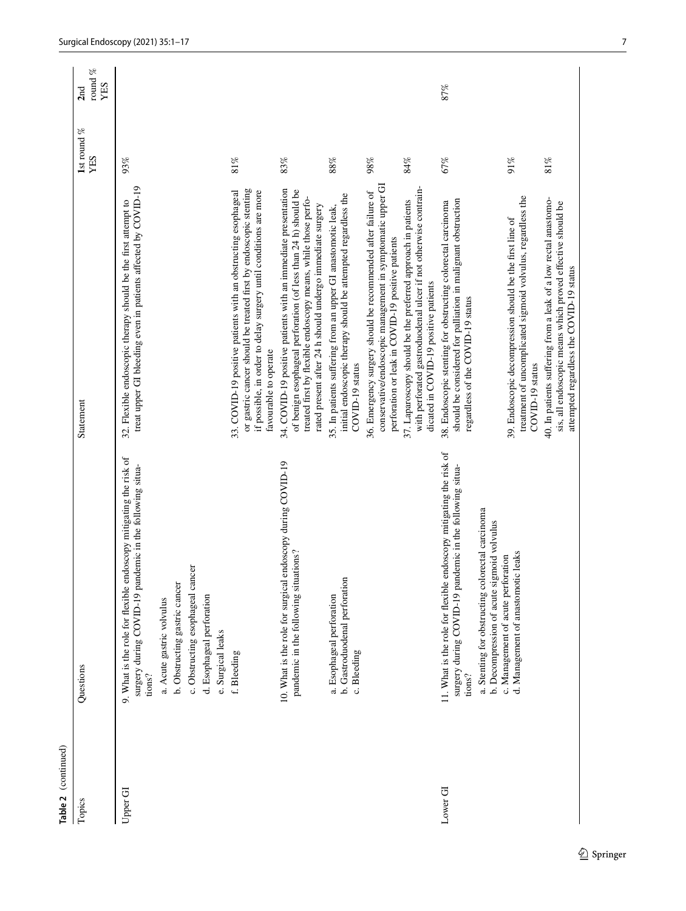| YES<br>87%<br>2nd<br>$\%$<br><b>Ist</b> round<br>YES<br>88%<br>98%<br>91%<br>93%<br>$81\%$<br>83%<br>84%<br>67%<br>81%<br>conservative/endoscopic management in symptomatic upper GI<br>treat upper GI bleeding even in patients affected by COVID-19<br>with perforated gastroduodenal ulcer if not otherwise contrain-<br>34. COVID-19 positive patients with an immediate presentation<br>or gastric cancer should be treated first by endoscopic stenting<br>of benign esophageal perforation (of less than 24 h) should be<br>if possible, in order to delay surgery until conditions are more<br>33. COVID-19 positive patients with an obstructing esophageal<br>36. Emergency surgery should be recommended after failure of<br>initial endoscopic therapy should be attempted regardless the<br>treatment of uncomplicated sigmoid volvulus, regardless the<br>treated first by flexible endoscopy means, while those perfo-<br>40. In patients suffering from a leak of a low rectal anastomo-<br>should be considered for palliation in malignant obstruction<br>37. Laparoscopy should be the preferred approach in patients<br>32. Flexible endoscopic therapy should be the first attempt to<br>38. Endoscopic stenting for obstructing colorectal carcinoma<br>sis, all endoscopic means which proved effective should be<br>rated present after 24 h should undergo immediate surgery<br>35. In patients suffering from an upper GI anastomotic leak,<br>39. Endoscopic decompression should be the first line of<br>perforation or leak in COVID-19 positive patients<br>attempted regardless the COVID-19 status<br>dicated in COVID-19 positive patients<br>regardless of the COVID-19 status<br>favourable to operate<br>COVID-19 status<br>COVID-19 status<br>Statement<br>11. What is the role for flexible endoscopy mitigating the risk of<br>9. What is the role for flexible endoscopy mitigating the risk of<br>10. What is the role for surgical endoscopy during COVID-19<br>surgery during COVID-19 pandemic in the following situa-<br>surgery during COVID-19 pandemic in the following situa-<br>a. Stenting for obstructing colorectal carcinoma<br>b. Decompression of acute sigmoid volvulus<br>pandemic in the following situations?<br>d. Management of anastomotic leaks<br>c. Management of acute perforation<br>c. Obstructing esophageal cancer<br>b. Gastroduodenal perforation<br>b. Obstructing gastric cancer<br>d. Esophageal perforation<br>a. Esophageal perforation<br>a. Acute gastric volvulus<br>e. Surgical leaks<br>c. Bleeding<br>f. Bleeding<br>Questions<br>tions?<br>tions?<br>Lower GI<br>Upper GI<br>Topics | Table 2 (continued) |  |            |
|--------------------------------------------------------------------------------------------------------------------------------------------------------------------------------------------------------------------------------------------------------------------------------------------------------------------------------------------------------------------------------------------------------------------------------------------------------------------------------------------------------------------------------------------------------------------------------------------------------------------------------------------------------------------------------------------------------------------------------------------------------------------------------------------------------------------------------------------------------------------------------------------------------------------------------------------------------------------------------------------------------------------------------------------------------------------------------------------------------------------------------------------------------------------------------------------------------------------------------------------------------------------------------------------------------------------------------------------------------------------------------------------------------------------------------------------------------------------------------------------------------------------------------------------------------------------------------------------------------------------------------------------------------------------------------------------------------------------------------------------------------------------------------------------------------------------------------------------------------------------------------------------------------------------------------------------------------------------------------------------------------------------------------------------------------------------------------------------------------------------------------------------------------------------------------------------------------------------------------------------------------------------------------------------------------------------------------------------------------------------------------------------------------------------------------------------------------------------------------------------------------------------------------------------------------------------------------------------------------------------------------------------------------------------------|---------------------|--|------------|
|                                                                                                                                                                                                                                                                                                                                                                                                                                                                                                                                                                                                                                                                                                                                                                                                                                                                                                                                                                                                                                                                                                                                                                                                                                                                                                                                                                                                                                                                                                                                                                                                                                                                                                                                                                                                                                                                                                                                                                                                                                                                                                                                                                                                                                                                                                                                                                                                                                                                                                                                                                                                                                                                          |                     |  | round $\%$ |
|                                                                                                                                                                                                                                                                                                                                                                                                                                                                                                                                                                                                                                                                                                                                                                                                                                                                                                                                                                                                                                                                                                                                                                                                                                                                                                                                                                                                                                                                                                                                                                                                                                                                                                                                                                                                                                                                                                                                                                                                                                                                                                                                                                                                                                                                                                                                                                                                                                                                                                                                                                                                                                                                          |                     |  |            |
|                                                                                                                                                                                                                                                                                                                                                                                                                                                                                                                                                                                                                                                                                                                                                                                                                                                                                                                                                                                                                                                                                                                                                                                                                                                                                                                                                                                                                                                                                                                                                                                                                                                                                                                                                                                                                                                                                                                                                                                                                                                                                                                                                                                                                                                                                                                                                                                                                                                                                                                                                                                                                                                                          |                     |  |            |
|                                                                                                                                                                                                                                                                                                                                                                                                                                                                                                                                                                                                                                                                                                                                                                                                                                                                                                                                                                                                                                                                                                                                                                                                                                                                                                                                                                                                                                                                                                                                                                                                                                                                                                                                                                                                                                                                                                                                                                                                                                                                                                                                                                                                                                                                                                                                                                                                                                                                                                                                                                                                                                                                          |                     |  |            |
|                                                                                                                                                                                                                                                                                                                                                                                                                                                                                                                                                                                                                                                                                                                                                                                                                                                                                                                                                                                                                                                                                                                                                                                                                                                                                                                                                                                                                                                                                                                                                                                                                                                                                                                                                                                                                                                                                                                                                                                                                                                                                                                                                                                                                                                                                                                                                                                                                                                                                                                                                                                                                                                                          |                     |  |            |
|                                                                                                                                                                                                                                                                                                                                                                                                                                                                                                                                                                                                                                                                                                                                                                                                                                                                                                                                                                                                                                                                                                                                                                                                                                                                                                                                                                                                                                                                                                                                                                                                                                                                                                                                                                                                                                                                                                                                                                                                                                                                                                                                                                                                                                                                                                                                                                                                                                                                                                                                                                                                                                                                          |                     |  |            |
|                                                                                                                                                                                                                                                                                                                                                                                                                                                                                                                                                                                                                                                                                                                                                                                                                                                                                                                                                                                                                                                                                                                                                                                                                                                                                                                                                                                                                                                                                                                                                                                                                                                                                                                                                                                                                                                                                                                                                                                                                                                                                                                                                                                                                                                                                                                                                                                                                                                                                                                                                                                                                                                                          |                     |  |            |
|                                                                                                                                                                                                                                                                                                                                                                                                                                                                                                                                                                                                                                                                                                                                                                                                                                                                                                                                                                                                                                                                                                                                                                                                                                                                                                                                                                                                                                                                                                                                                                                                                                                                                                                                                                                                                                                                                                                                                                                                                                                                                                                                                                                                                                                                                                                                                                                                                                                                                                                                                                                                                                                                          |                     |  |            |
|                                                                                                                                                                                                                                                                                                                                                                                                                                                                                                                                                                                                                                                                                                                                                                                                                                                                                                                                                                                                                                                                                                                                                                                                                                                                                                                                                                                                                                                                                                                                                                                                                                                                                                                                                                                                                                                                                                                                                                                                                                                                                                                                                                                                                                                                                                                                                                                                                                                                                                                                                                                                                                                                          |                     |  |            |
|                                                                                                                                                                                                                                                                                                                                                                                                                                                                                                                                                                                                                                                                                                                                                                                                                                                                                                                                                                                                                                                                                                                                                                                                                                                                                                                                                                                                                                                                                                                                                                                                                                                                                                                                                                                                                                                                                                                                                                                                                                                                                                                                                                                                                                                                                                                                                                                                                                                                                                                                                                                                                                                                          |                     |  |            |
|                                                                                                                                                                                                                                                                                                                                                                                                                                                                                                                                                                                                                                                                                                                                                                                                                                                                                                                                                                                                                                                                                                                                                                                                                                                                                                                                                                                                                                                                                                                                                                                                                                                                                                                                                                                                                                                                                                                                                                                                                                                                                                                                                                                                                                                                                                                                                                                                                                                                                                                                                                                                                                                                          |                     |  |            |
|                                                                                                                                                                                                                                                                                                                                                                                                                                                                                                                                                                                                                                                                                                                                                                                                                                                                                                                                                                                                                                                                                                                                                                                                                                                                                                                                                                                                                                                                                                                                                                                                                                                                                                                                                                                                                                                                                                                                                                                                                                                                                                                                                                                                                                                                                                                                                                                                                                                                                                                                                                                                                                                                          |                     |  |            |
|                                                                                                                                                                                                                                                                                                                                                                                                                                                                                                                                                                                                                                                                                                                                                                                                                                                                                                                                                                                                                                                                                                                                                                                                                                                                                                                                                                                                                                                                                                                                                                                                                                                                                                                                                                                                                                                                                                                                                                                                                                                                                                                                                                                                                                                                                                                                                                                                                                                                                                                                                                                                                                                                          |                     |  |            |
|                                                                                                                                                                                                                                                                                                                                                                                                                                                                                                                                                                                                                                                                                                                                                                                                                                                                                                                                                                                                                                                                                                                                                                                                                                                                                                                                                                                                                                                                                                                                                                                                                                                                                                                                                                                                                                                                                                                                                                                                                                                                                                                                                                                                                                                                                                                                                                                                                                                                                                                                                                                                                                                                          |                     |  |            |
|                                                                                                                                                                                                                                                                                                                                                                                                                                                                                                                                                                                                                                                                                                                                                                                                                                                                                                                                                                                                                                                                                                                                                                                                                                                                                                                                                                                                                                                                                                                                                                                                                                                                                                                                                                                                                                                                                                                                                                                                                                                                                                                                                                                                                                                                                                                                                                                                                                                                                                                                                                                                                                                                          |                     |  |            |
|                                                                                                                                                                                                                                                                                                                                                                                                                                                                                                                                                                                                                                                                                                                                                                                                                                                                                                                                                                                                                                                                                                                                                                                                                                                                                                                                                                                                                                                                                                                                                                                                                                                                                                                                                                                                                                                                                                                                                                                                                                                                                                                                                                                                                                                                                                                                                                                                                                                                                                                                                                                                                                                                          |                     |  |            |
|                                                                                                                                                                                                                                                                                                                                                                                                                                                                                                                                                                                                                                                                                                                                                                                                                                                                                                                                                                                                                                                                                                                                                                                                                                                                                                                                                                                                                                                                                                                                                                                                                                                                                                                                                                                                                                                                                                                                                                                                                                                                                                                                                                                                                                                                                                                                                                                                                                                                                                                                                                                                                                                                          |                     |  |            |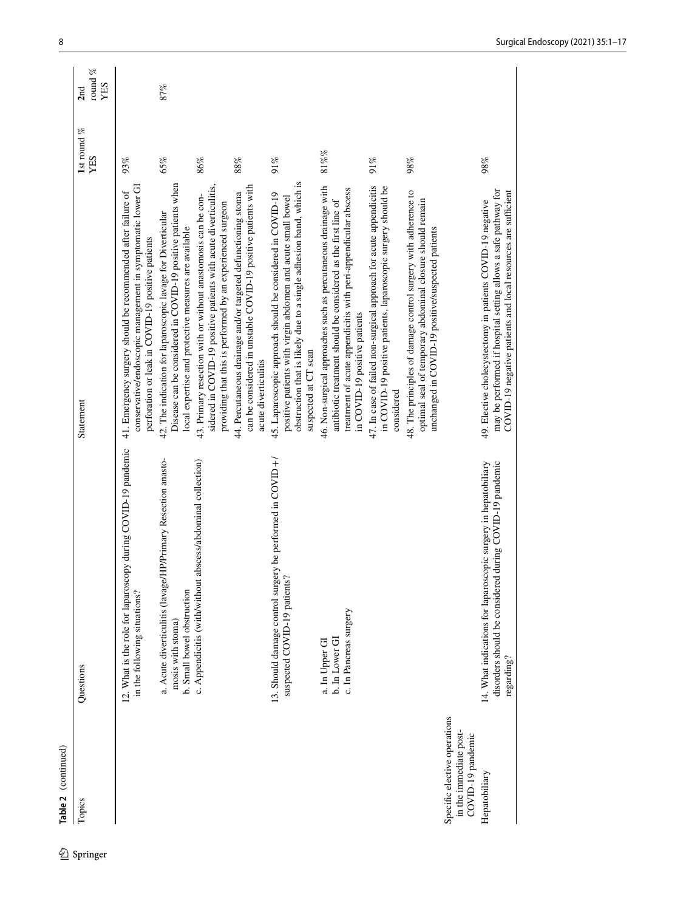| Topics                                                                      | Questions                                                                                                                               | Statement                                                                                                                                                                                                                           | $1st$ round $\%$<br>YES |  |
|-----------------------------------------------------------------------------|-----------------------------------------------------------------------------------------------------------------------------------------|-------------------------------------------------------------------------------------------------------------------------------------------------------------------------------------------------------------------------------------|-------------------------|--|
|                                                                             | 12. What is the role for laparoscopy during COVID-19 pandemic<br>in the following situations?                                           | conservative/endoscopic management in symptomatic lower GI<br>41. Emergency surgery should be recommended after failure of<br>perforation or leak in COVID-19 positive patients                                                     | 93%                     |  |
|                                                                             | a. Acute diverticulitis (lavage/HP/Primary Resection anasto-<br>b. Small bowel obstruction<br>mosis with stoma)                         | Disease can be considered in COVID-19 positive patients when<br>42. The indication for laparoscopic lavage for Diverticular<br>local expertise and protective measures are available                                                | 65%                     |  |
|                                                                             | c. Appendicitis (with/without abscess/abdominal collection)                                                                             | sidered in COVID-19 positive patients with acute diverticulitis,<br>43. Primary resection with or without anastomosis can be con-<br>providing that this is performed by an experienced surgeon                                     | 86%                     |  |
|                                                                             |                                                                                                                                         | can be considered in unstable COVID-19 positive patients with<br>44. Percutaneous drainage and/or targeted defunctioning stoma<br>acute diverticulitis                                                                              | 88%                     |  |
|                                                                             | 13. Should damage control surgery be performed in COVID+/<br>suspected COVID-19 patients?                                               | obstruction that is likely due to a single adhesion band, which is<br>45. Laparoscopic approach should be considered in COVID-19<br>positive patients with virgin abdomen and acute small bowel<br>suspected at CT scan             | 91%                     |  |
|                                                                             | c. In Pancreas surgery<br>b. In Lower GI<br>a. In Upper GI                                                                              | 46. Non-surgical approaches such as percutaneous drainage with<br>treatment of acute appendicitis with peri-appendicular abscess<br>antibiotic treatment should be considered as the first line of<br>in COVID-19 positive patients | $81\,\%$ %              |  |
|                                                                             |                                                                                                                                         | 47. In case of failed non-surgical approach for acute appendicitis<br>in COVID-19 positive patients, laparoscopic surgery should be<br>considered                                                                                   | 91%                     |  |
|                                                                             |                                                                                                                                         | 48. The principles of damage control surgery with adherence to<br>optimal seal of temporary abdominal closure should remain<br>unchanged in COVID-19 positive/suspected patients                                                    | 98%                     |  |
| Specific elective operations<br>in the immediate post-<br>COVID-19 pandemic |                                                                                                                                         |                                                                                                                                                                                                                                     |                         |  |
| Hepatobiliary                                                               | 14. What indications for laparoscopic surgery in hepatobiliary<br>disorders should be considered during COVID-19 pandemic<br>regarding? | may be performed if hospital setting allows a safe pathway for<br>COVID-19 negative patients and local resources are sufficient<br>49. Elective cholecystectomy in patients COVID-19 negative                                       | 98%                     |  |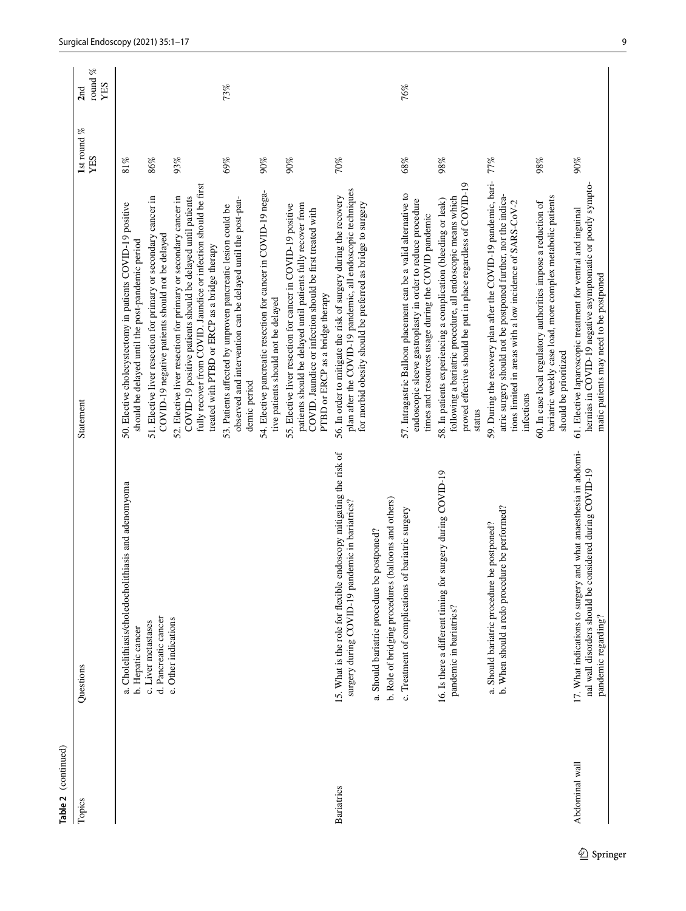| Table 2 (continued) |                                                                                                                                                   |                                                                                                                                                                                                                                                    |                                   |                          |
|---------------------|---------------------------------------------------------------------------------------------------------------------------------------------------|----------------------------------------------------------------------------------------------------------------------------------------------------------------------------------------------------------------------------------------------------|-----------------------------------|--------------------------|
| Topics              | Questions                                                                                                                                         | Statement                                                                                                                                                                                                                                          | $\mathscr{C}$<br>1st round<br>YES | round $\%$<br>YES<br>2nd |
|                     | Cholelithiasis/choledocholithiasis and adenomyoma<br>b. Hepatic cancer<br>a.                                                                      | 50. Elective cholecystectomy in patients COVID-19 positive<br>should be delayed until the post-pandemic period                                                                                                                                     | 81%                               |                          |
|                     | d. Pancreatic cancer<br>c. Liver metastases                                                                                                       | 51. Elective liver resection for primary or secondary cancer in<br>COVID-19 negative patients should not be delayed                                                                                                                                | 86%                               |                          |
|                     | e. Other indications                                                                                                                              | fully recover from COVID. Jaundice or infection should be first<br>52. Elective liver resection for primary or secondary cancer in<br>COVID-19 positive patients should be delayed until patients<br>treated with PTBD or ERCP as a bridge therapy | 93%                               |                          |
|                     |                                                                                                                                                   | observed and intervention can be delayed until the post-pan-<br>53. Patients affected by unproven pancreatic lesion could be<br>demic period                                                                                                       | 69%                               | 73%                      |
|                     |                                                                                                                                                   | 54. Elective pancreatic resection for cancer in COVID-19 nega-<br>tive patients should not be delayed                                                                                                                                              | 90%                               |                          |
|                     |                                                                                                                                                   | patients should be delayed until patients fully recover from<br>55. Elective liver resection for cancer in COVID-19 positive<br>COVID. Jaundice or infection should be first treated with<br>PTBD or ERCP as a bridge therapy                      | 90%                               |                          |
| <b>Bariatrics</b>   | endoscopy mitigating the risk of<br>surgery during COVID-19 pandemic in bariatrics?<br>15. What is the role for flexible                          | plan after the COVID-19 pandemic, all endoscopic techniques<br>56. In order to mitigate the risk of surgery during the recovery<br>for morbid obesity should be preferred as bridge to surgery                                                     | 70%                               |                          |
|                     | a. Should bariatric procedure be postponed?                                                                                                       |                                                                                                                                                                                                                                                    |                                   |                          |
|                     | b. Role of bridging procedures (balloons and others)                                                                                              |                                                                                                                                                                                                                                                    |                                   |                          |
|                     | c. Treatment of complications of bariatric surgery                                                                                                | 57. Intragastric Balloon placement can be a valid alternative to<br>endoscopic sleeve gastroplasty in order to reduce procedure<br>times and resources usage during the COVID pandemic                                                             | 68%                               | 76%                      |
|                     | 16. Is there a different timing for surgery during COVID-19<br>pandemic in bariatrics?                                                            | proved effective should be put in place regardless of COVID-19<br>following a bariatric procedure, all endoscopic means which<br>58. In patients experiencing a complication (bleeding or leak)<br>status                                          | 98%                               |                          |
|                     | b. When should a redo procedure be performed?<br>a. Should bariatric procedure be postponed?                                                      | 59. During the recovery plan after the COVID-19 pandemic, bari- 77%<br>atric surgery should not be postponed further, nor the indica-<br>tions limited in areas with a low incidence of SARS-CoV-2<br>infections                                   |                                   |                          |
|                     |                                                                                                                                                   | bariatric weekly case load, more complex metabolic patients<br>60. In case local regulatory authorities impose a reduction of<br>should be prioritized                                                                                             | 98%                               |                          |
| Abdominal wall      | 17. What indications to surgery and what anaesthesia in abdomi-<br>nal wall disorders should be considered during COVID-19<br>pandemic regarding? | hernias in COVID-19 negative asymptomatic or poorly sympto-<br>61. Elective laparoscopic treatment for ventral and inguinal<br>matic patients may need to be postponed                                                                             | 90%                               |                          |

9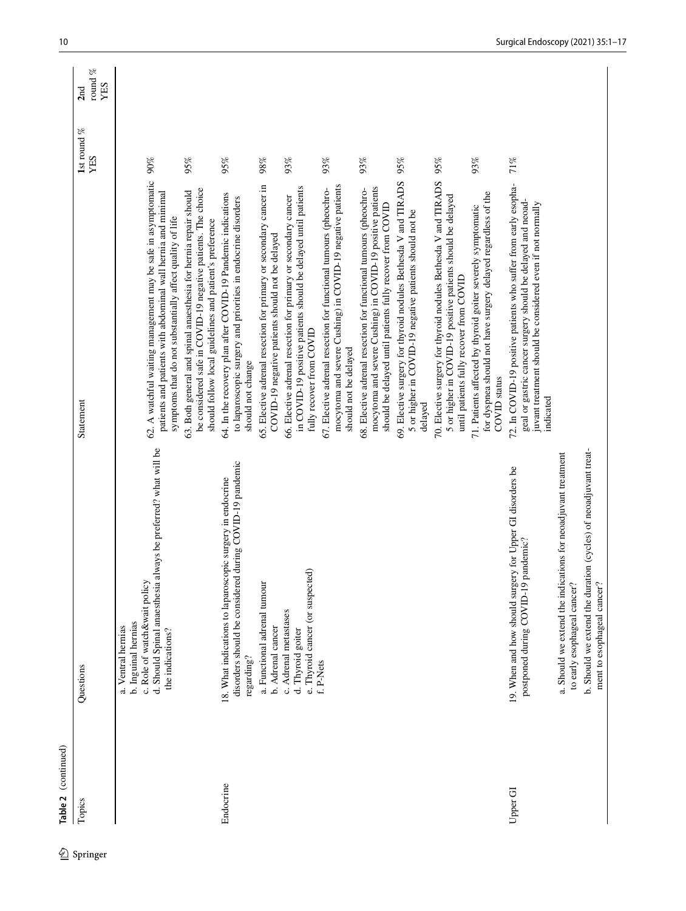| Table 2 (continued) |                                                                                                                                                                     |                                                                                                                                                                                                           |                       |                          |
|---------------------|---------------------------------------------------------------------------------------------------------------------------------------------------------------------|-----------------------------------------------------------------------------------------------------------------------------------------------------------------------------------------------------------|-----------------------|--------------------------|
| Topics              | Questions                                                                                                                                                           | Statement                                                                                                                                                                                                 | æ<br>1st round<br>YES | round $\%$<br>YES<br>2nd |
|                     | ways be preferred? what will be<br>d. Should Spinal anaesthesia al<br>c. Role of watch&wait policy<br>b. Inguinal hernias<br>a. Ventral hernias<br>the indications? | 62. A watchful waiting management may be safe in asymptomatic<br>patients and patients with abdominal wall hernia and minimal<br>symptoms that do not substantially affect quality of life                | $90\%$                |                          |
|                     |                                                                                                                                                                     | be considered safe in COVID-19 negative patients. The choice<br>63. Both general and spinal anaesthesia for hernia repair should<br>should follow local guidelines and patient's preference               | 95%                   |                          |
| Endocrine           | disorders should be considered during COVID-19 pandemic<br>18. What indications to laparoscopic surgery in endocrine<br>regarding?                                  | 64. In the recovery plan after COVID-19 Pandemic indications<br>to laparoscopic surgery and priorities in endocrine disorders<br>should not change                                                        | 95%                   |                          |
|                     | a. Functional adrenal tumour<br>b. Adrenal cancer                                                                                                                   | 65. Elective adrenal resection for primary or secondary cancer in<br>COVID-19 negative patients should not be delayed                                                                                     | 98%                   |                          |
|                     | e. Thyroid cancer (or suspected)<br>c. Adrenal metastases<br>d. Thyroid goiter                                                                                      | in COVID-19 positive patients should be delayed until patients<br>66. Elective adrenal resection for primary or secondary cancer<br>fully recover from COVID                                              | 93%                   |                          |
|                     | f. P-Nets                                                                                                                                                           | mocytoma and severe Cushing) in COVID-19 negative patients<br>67. Elective adrenal resection for functional tumours (pheochro-<br>should not be delayed                                                   | 93%                   |                          |
|                     |                                                                                                                                                                     | mocytoma and severe Cushing) in COVID-19 positive patients<br>68. Elective adrenal resection for functional tumours (pheochro-<br>should be delayed until patients fully recover from COVID               | 93%                   |                          |
|                     |                                                                                                                                                                     | 69. Elective surgery for thyroid nodules Bethesda V and TIRADS<br>5 or higher in COVID-19 negative patients should not be<br>delayed                                                                      | 95%                   |                          |
|                     |                                                                                                                                                                     | 70. Elective surgery for thyroid nodules Bethesda V and TIRADS<br>5 or higher in COVID-19 positive patients should be delayed<br>until patients fully recover from COVID                                  | 95%                   |                          |
|                     |                                                                                                                                                                     | for dyspnea should not have surgery delayed regardless of the<br>71. Patients affected by thyroid goiter severely symptomatic<br>COVID status                                                             | 93%                   |                          |
| Upper GI            | 19. When and how should surgery for Upper GI disorders be<br>postponed during COVID-19 pandemic?                                                                    | 72. In COVID-19 positive patients who suffer from early esopha-<br>geal or gastric cancer surgery should be delayed and neoad-<br>juvant treatment should be considered even if not normally<br>indicated | 71%                   |                          |
|                     | a. Should we extend the indications for neoadjuvant treatment<br>to early esophageal cancer?                                                                        |                                                                                                                                                                                                           |                       |                          |
|                     | b. Should we extend the duration (cycles) of neoadjuvant treat-<br>ment to esophageal cancer?                                                                       |                                                                                                                                                                                                           |                       |                          |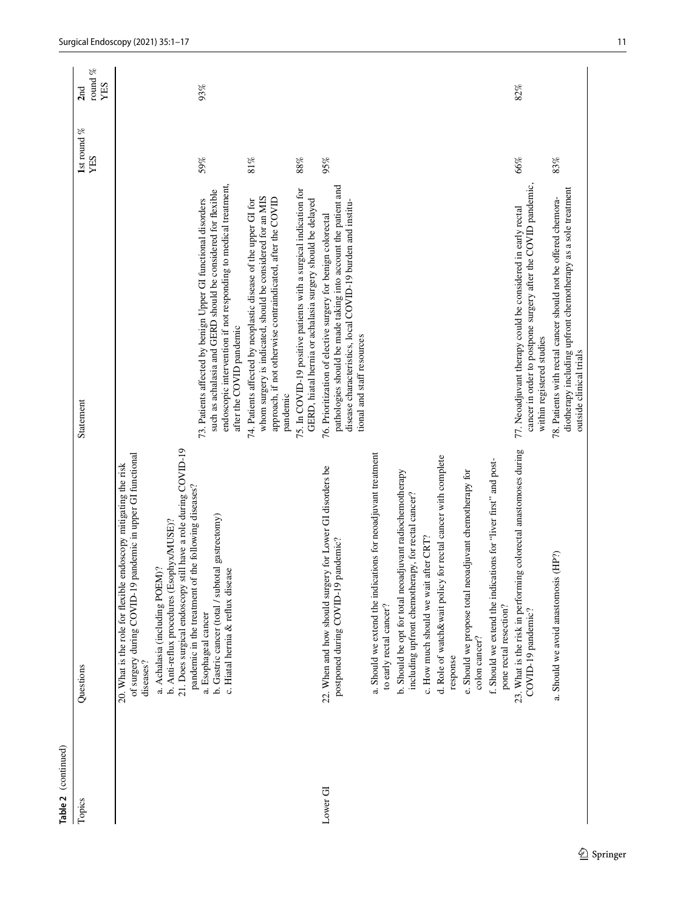| Topics   | Questions                                                                                                                                                                                            | Statement                                                                                                                                                                                                                    | 1st round $%$<br>YES | round $\%$<br>YES<br>2nd |
|----------|------------------------------------------------------------------------------------------------------------------------------------------------------------------------------------------------------|------------------------------------------------------------------------------------------------------------------------------------------------------------------------------------------------------------------------------|----------------------|--------------------------|
|          | of surgery during COVID-19 pandemic in upper GI functional<br>20. What is the role for flexible endoscopy mitigating the risk<br>diseases?                                                           |                                                                                                                                                                                                                              |                      |                          |
|          | 21. Does surgical endoscopy still have a role during COVID-19<br>pandemic in the treatment of the following diseases?<br>b. Anti-reflux procedures (Esophyx/MUSE)?<br>a. Achalasia (including POEM)? |                                                                                                                                                                                                                              |                      |                          |
|          | b. Gastric cancer (total / subtotal gastrectomy)<br>c. Hiatal hernia & reflux disease<br>a. Esophageal cancer                                                                                        | endoscopic intervention if not responding to medical treatment,<br>such as achalasia and GERD should be considered for flexible<br>73. Patients affected by benign Upper GI functional disorders<br>after the COVID pandemic | 59%                  | 93%                      |
|          |                                                                                                                                                                                                      | whom surgery is indicated, should be considered for an MIS<br>approach, if not otherwise contraindicated, after the COVID<br>74. Patients affected by neoplastic disease of the upper GI for<br>pandemic                     | 81%                  |                          |
|          |                                                                                                                                                                                                      | 75. In COVID-19 positive patients with a surgical indication for<br>GERD, hiatal hernia or achalasia surgery should be delayed                                                                                               | 88%                  |                          |
| Lower GI | 22. When and how should surgery for Lower GI disorders be<br>postponed during COVID-19 pandemic?                                                                                                     | pathologies should be made taking into account the patient and<br>disease characteristics, local COVID-19 burden and institu-<br>76. Prioritization of elective surgery for benign colorectal<br>tional and staff resources  | 95%                  |                          |
|          | a. Should we extend the indications for neoadjuvant treatment<br>to early rectal cancer?                                                                                                             |                                                                                                                                                                                                                              |                      |                          |
|          | b. Should be opt for total neoadjuvant radiochemotherapy<br>including upfront chemotherapy, for rectal cancer?                                                                                       |                                                                                                                                                                                                                              |                      |                          |
|          | c. How much should we wait after CRT?                                                                                                                                                                |                                                                                                                                                                                                                              |                      |                          |
|          | for rectal cancer with complete<br>d. Role of watch&wait policy<br>response                                                                                                                          |                                                                                                                                                                                                                              |                      |                          |
|          | e. Should we propose total neoadjuvant chemotherapy for<br>colon cancer?                                                                                                                             |                                                                                                                                                                                                                              |                      |                          |
|          | f. Should we extend the indications for "liver first" and post-<br>pone rectal resection?                                                                                                            |                                                                                                                                                                                                                              |                      |                          |
|          | g colorectal anastomoses during<br>23. What is the risk in performin<br>COVID-19 pandemic?                                                                                                           | cancer in order to postpone surgery after the COVID pandemic,<br>77. Neoadjuvant therapy could be considered in early rectal<br>within registered studies                                                                    | 66%                  | 82%                      |
|          | $(\mathrm{HP}?)$<br>a. Should we avoid anastomosis                                                                                                                                                   | diotherapy including upfront chemotherapy as a sole treatment<br>78. Patients with rectal cancer should not be offered chemora-<br>outside clinical trials                                                                   | 83%                  |                          |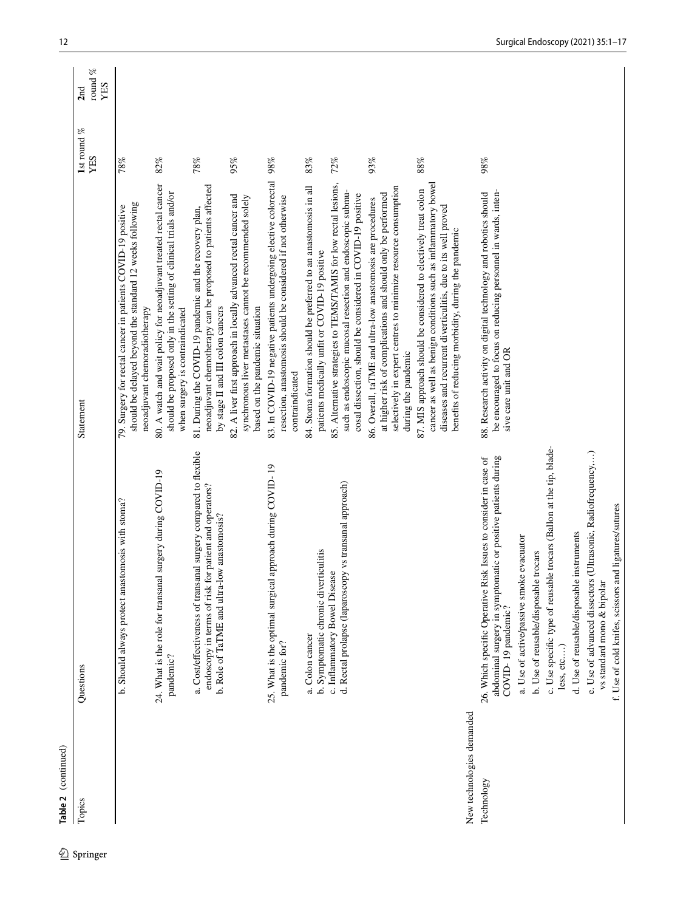| Topics                    | Questions                                                                                                                                                               | Statement                                                                                                                                                                                                                                                 | æ<br>1st round<br>YES | round<br>YES<br>2nd |
|---------------------------|-------------------------------------------------------------------------------------------------------------------------------------------------------------------------|-----------------------------------------------------------------------------------------------------------------------------------------------------------------------------------------------------------------------------------------------------------|-----------------------|---------------------|
|                           | b. Should always protect anastomosis with stoma?                                                                                                                        | should be delayed beyond the standard 12 weeks following<br>79. Surgery for rectal cancer in patients COVID-19 positive<br>neoadjuvant chemoradiotherapy                                                                                                  | 78%                   |                     |
|                           | surgery during COVID-19<br>24. What is the role for transanal<br>pandemic?                                                                                              | 80. A watch and wait policy for neoadjuvant treated rectal cancer<br>should be proposed only in the setting of clinical trials and/or<br>when surgery is contraindicated                                                                                  | 82%                   |                     |
|                           | a. Cost/effectiveness of transanal surgery compared to flexible<br>endoscopy in terms of risk for patient and operators?<br>b. Role of TaTME and ultra-low anastomosis? | neoadjuvant chemotherapy can be proposed to patients affected<br>81. During the COVID-19 pandemic and the recovery plan,<br>by stage II and III colon cancers                                                                                             | 78%                   |                     |
|                           |                                                                                                                                                                         | 82. A liver first approach in locally advanced rectal cancer and<br>synchronous liver metastases cannot be recommended solely<br>based on the pandemic situation                                                                                          | 95%                   |                     |
|                           | approach during COVID-19<br>25. What is the optimal surgical<br>pandemic for?                                                                                           | 83. In COVID-19 negative patients undergoing elective colorectal 98%<br>resection, anastomosis should be considered if not otherwise<br>contraindicated                                                                                                   |                       |                     |
|                           | b. Symptomatic chronic diverticulitis<br>a. Colon cancer                                                                                                                | 84. Stoma formation should be preferred to an anastomosis in all<br>patients medically unfit or COVID-19 positive                                                                                                                                         | 83%                   |                     |
|                           | d. Rectal prolapse (laparoscopy vs transanal approach)<br>c. Inflammatory Bowel Disease                                                                                 | 85. Alternative strategies to TEMS/TAMIS for low rectal lesions,<br>such as endoscopic mucosal resection and endoscopic submu-<br>cosal dissection, should be considered in COVID-19 positive                                                             | 72%                   |                     |
|                           |                                                                                                                                                                         | selectively in expert centres to minimize resource consumption<br>at higher risk of complications and should only be performed<br>86. Overall, taTME and ultra-low anastomosis are procedures<br>during the pandemic                                      | 93%                   |                     |
|                           |                                                                                                                                                                         | cancer as well as benign conditions such as inflammatory bowel<br>87. MIS approach should be considered to electively treat colon<br>diseases and recurrent diverticulitis, due to its well proved<br>benefits of reducing morbidity, during the pandemic | $88\%$                |                     |
| New technologies demanded |                                                                                                                                                                         |                                                                                                                                                                                                                                                           |                       |                     |
| Technology                | abdominal surgery in symptomatic or positive patients during<br>26. Which specific Operative Risk Issues to consider in case of<br>COVID-19 pandemic?                   | be encouraged to focus on reducing personnel in wards, inten-<br>88. Research activity on digital technology and robotics should<br>sive care unit and OR                                                                                                 | 98%                   |                     |
|                           | a. Use of active/passive smoke evacuator<br>b. Use of reusable/disposable trocars                                                                                       |                                                                                                                                                                                                                                                           |                       |                     |
|                           | c. Use specific type of reusable trocars (Ballon at the tip, blade-<br>less, etc)                                                                                       |                                                                                                                                                                                                                                                           |                       |                     |
|                           | d. Use of reusable/disposable instruments                                                                                                                               |                                                                                                                                                                                                                                                           |                       |                     |
|                           | (Ultrasonic, Radiofrequency,)<br>e. Use of advanced dissectors<br>vs standard mono & bipolar                                                                            |                                                                                                                                                                                                                                                           |                       |                     |
|                           | f. Use of cold knifes, scissors and ligatures/sutures                                                                                                                   |                                                                                                                                                                                                                                                           |                       |                     |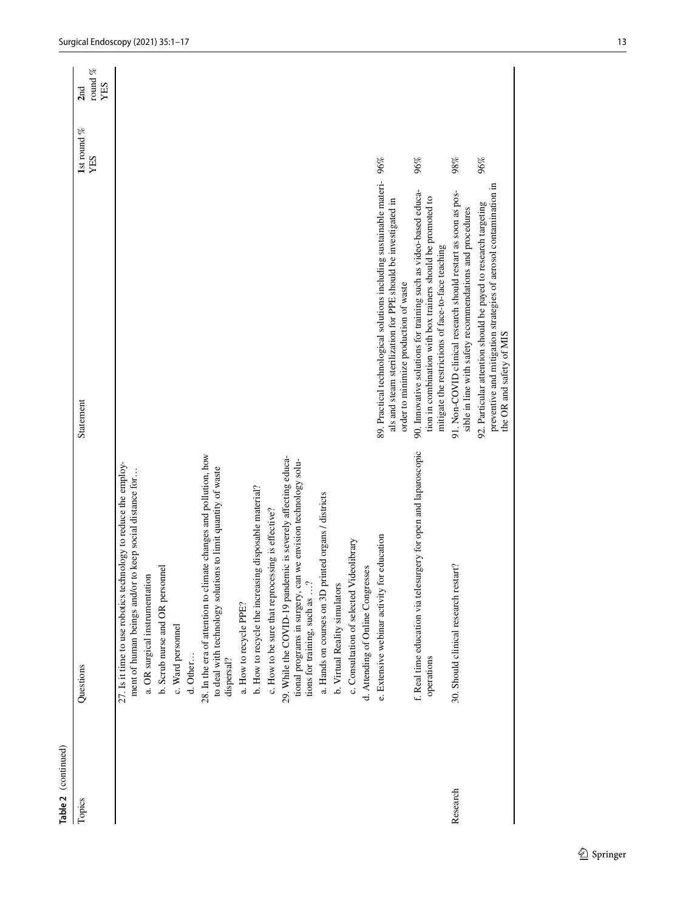| Topics   | Questions                                                                                                                                                        | Statement                                                                                                                                                                             | $1st$ round $\%$<br>YES | round $\%$<br>YES<br>2nd |
|----------|------------------------------------------------------------------------------------------------------------------------------------------------------------------|---------------------------------------------------------------------------------------------------------------------------------------------------------------------------------------|-------------------------|--------------------------|
|          | 27. Is it time to use robotics technology to reduce the employ-<br>ment of human beings and/or to keep social distance for                                       |                                                                                                                                                                                       |                         |                          |
|          | a. OR surgical instrumentation                                                                                                                                   |                                                                                                                                                                                       |                         |                          |
|          | b. Scrub nurse and OR personnel                                                                                                                                  |                                                                                                                                                                                       |                         |                          |
|          | c. Ward personnel                                                                                                                                                |                                                                                                                                                                                       |                         |                          |
|          | d. Other                                                                                                                                                         |                                                                                                                                                                                       |                         |                          |
|          | 28. In the era of attention to climate changes and pollution, how<br>to deal with technology solutions to limit quantity of waste<br>dispersal?                  |                                                                                                                                                                                       |                         |                          |
|          | a. How to recycle PPE?                                                                                                                                           |                                                                                                                                                                                       |                         |                          |
|          | b. How to recycle the increasing disposable material?                                                                                                            |                                                                                                                                                                                       |                         |                          |
|          | c. How to be sure that reprocessing is effective?                                                                                                                |                                                                                                                                                                                       |                         |                          |
|          | 29. While the COVID-19 pandemic is severely affecting educa-<br>we envision technology solu-<br>tional programs in surgery, can<br>tions for training, such as ? |                                                                                                                                                                                       |                         |                          |
|          | a. Hands on courses on 3D printed organs / districts                                                                                                             |                                                                                                                                                                                       |                         |                          |
|          | b. Virtual Reality simulators                                                                                                                                    |                                                                                                                                                                                       |                         |                          |
|          | c. Consultation of selected Videolibrary                                                                                                                         |                                                                                                                                                                                       |                         |                          |
|          | d. Attending of Online Congresses                                                                                                                                |                                                                                                                                                                                       |                         |                          |
|          | education<br>e. Extensive webinar activity for                                                                                                                   | 89. Practical technological solutions including sustainable materi- 96%<br>als and steam sterilization for PPE should be investigated in<br>order to minimize production of waste     |                         |                          |
|          | rgery for open and laparoscopic<br>f. Real time education via telesur<br>operations                                                                              | 90. Innovative solutions for training such as video-based educa-<br>tion in combination with box trainers should be promoted to<br>mitigate the restrictions of face-to-face teaching | 96%                     |                          |
| Research | 30. Should clinical research restart?                                                                                                                            | 91. Non-COVID clinical research should restart as soon as pos-<br>sible in line with safety recommendations and procedures                                                            | $98\%$                  |                          |
|          |                                                                                                                                                                  | preventive and mitigation strategies of aerosol contamination in<br>92. Particular attention should be payed to research targeting<br>the OR and safety of MIS                        | 96%                     |                          |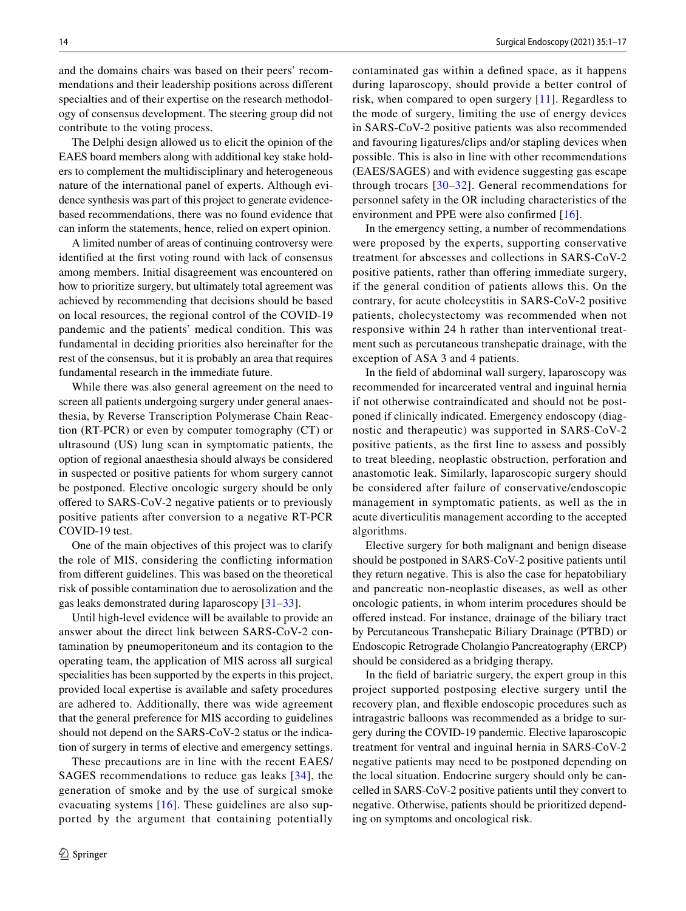and the domains chairs was based on their peers' recommendations and their leadership positions across diferent specialties and of their expertise on the research methodology of consensus development. The steering group did not contribute to the voting process.

The Delphi design allowed us to elicit the opinion of the EAES board members along with additional key stake holders to complement the multidisciplinary and heterogeneous nature of the international panel of experts. Although evidence synthesis was part of this project to generate evidencebased recommendations, there was no found evidence that can inform the statements, hence, relied on expert opinion.

A limited number of areas of continuing controversy were identifed at the frst voting round with lack of consensus among members. Initial disagreement was encountered on how to prioritize surgery, but ultimately total agreement was achieved by recommending that decisions should be based on local resources, the regional control of the COVID-19 pandemic and the patients' medical condition. This was fundamental in deciding priorities also hereinafter for the rest of the consensus, but it is probably an area that requires fundamental research in the immediate future.

While there was also general agreement on the need to screen all patients undergoing surgery under general anaesthesia, by Reverse Transcription Polymerase Chain Reaction (RT-PCR) or even by computer tomography (CT) or ultrasound (US) lung scan in symptomatic patients, the option of regional anaesthesia should always be considered in suspected or positive patients for whom surgery cannot be postponed. Elective oncologic surgery should be only offered to SARS-CoV-2 negative patients or to previously positive patients after conversion to a negative RT-PCR COVID-19 test.

One of the main objectives of this project was to clarify the role of MIS, considering the conficting information from diferent guidelines. This was based on the theoretical risk of possible contamination due to aerosolization and the gas leaks demonstrated during laparoscopy [\[31–](#page-16-1)[33\]](#page-16-2).

Until high-level evidence will be available to provide an answer about the direct link between SARS-CoV-2 contamination by pneumoperitoneum and its contagion to the operating team, the application of MIS across all surgical specialities has been supported by the experts in this project, provided local expertise is available and safety procedures are adhered to. Additionally, there was wide agreement that the general preference for MIS according to guidelines should not depend on the SARS-CoV-2 status or the indication of surgery in terms of elective and emergency settings.

These precautions are in line with the recent EAES/ SAGES recommendations to reduce gas leaks [[34](#page-16-3)], the generation of smoke and by the use of surgical smoke evacuating systems [[16](#page-15-9)]. These guidelines are also supported by the argument that containing potentially contaminated gas within a defned space, as it happens during laparoscopy, should provide a better control of risk, when compared to open surgery [\[11\]](#page-15-6). Regardless to the mode of surgery, limiting the use of energy devices in SARS-CoV-2 positive patients was also recommended and favouring ligatures/clips and/or stapling devices when possible. This is also in line with other recommendations (EAES/SAGES) and with evidence suggesting gas escape through trocars  $[30-32]$  $[30-32]$ . General recommendations for personnel safety in the OR including characteristics of the environment and PPE were also confirmed [\[16\]](#page-15-9).

In the emergency setting, a number of recommendations were proposed by the experts, supporting conservative treatment for abscesses and collections in SARS-CoV-2 positive patients, rather than offering immediate surgery, if the general condition of patients allows this. On the contrary, for acute cholecystitis in SARS-CoV-2 positive patients, cholecystectomy was recommended when not responsive within 24 h rather than interventional treatment such as percutaneous transhepatic drainage, with the exception of ASA 3 and 4 patients.

In the feld of abdominal wall surgery, laparoscopy was recommended for incarcerated ventral and inguinal hernia if not otherwise contraindicated and should not be postponed if clinically indicated. Emergency endoscopy (diagnostic and therapeutic) was supported in SARS-CoV-2 positive patients, as the frst line to assess and possibly to treat bleeding, neoplastic obstruction, perforation and anastomotic leak. Similarly, laparoscopic surgery should be considered after failure of conservative/endoscopic management in symptomatic patients, as well as the in acute diverticulitis management according to the accepted algorithms.

Elective surgery for both malignant and benign disease should be postponed in SARS-CoV-2 positive patients until they return negative. This is also the case for hepatobiliary and pancreatic non-neoplastic diseases, as well as other oncologic patients, in whom interim procedures should be ofered instead. For instance, drainage of the biliary tract by Percutaneous Transhepatic Biliary Drainage (PTBD) or Endoscopic Retrograde Cholangio Pancreatography (ERCP) should be considered as a bridging therapy.

In the feld of bariatric surgery, the expert group in this project supported postposing elective surgery until the recovery plan, and fexible endoscopic procedures such as intragastric balloons was recommended as a bridge to surgery during the COVID-19 pandemic. Elective laparoscopic treatment for ventral and inguinal hernia in SARS-CoV-2 negative patients may need to be postponed depending on the local situation. Endocrine surgery should only be cancelled in SARS-CoV-2 positive patients until they convert to negative. Otherwise, patients should be prioritized depending on symptoms and oncological risk.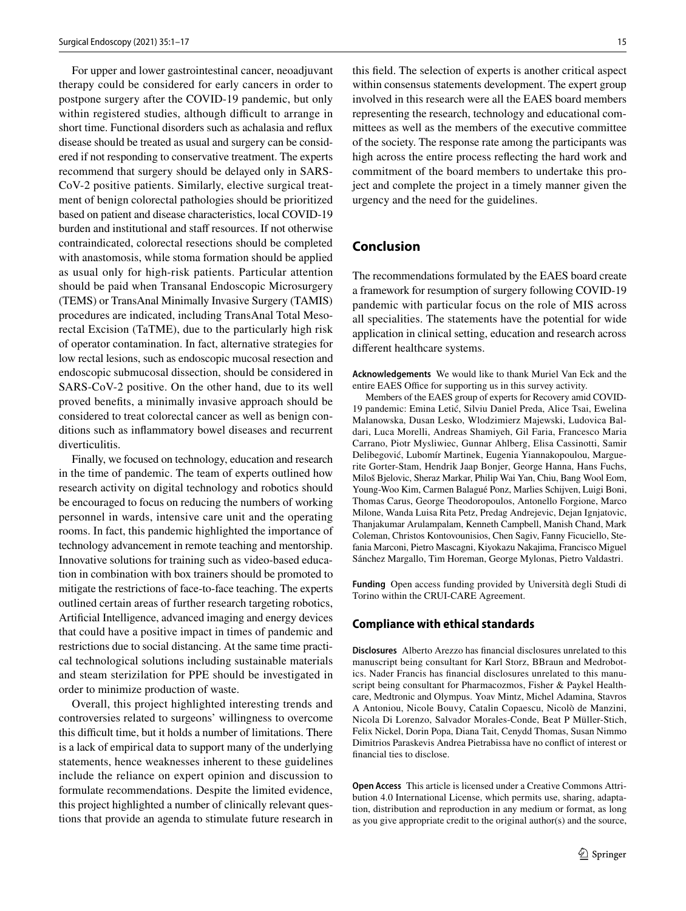For upper and lower gastrointestinal cancer, neoadjuvant therapy could be considered for early cancers in order to postpone surgery after the COVID-19 pandemic, but only within registered studies, although difficult to arrange in short time. Functional disorders such as achalasia and refux disease should be treated as usual and surgery can be considered if not responding to conservative treatment. The experts recommend that surgery should be delayed only in SARS-CoV-2 positive patients. Similarly, elective surgical treatment of benign colorectal pathologies should be prioritized based on patient and disease characteristics, local COVID-19 burden and institutional and staff resources. If not otherwise contraindicated, colorectal resections should be completed with anastomosis, while stoma formation should be applied as usual only for high-risk patients. Particular attention should be paid when Transanal Endoscopic Microsurgery (TEMS) or TransAnal Minimally Invasive Surgery (TAMIS) procedures are indicated, including TransAnal Total Mesorectal Excision (TaTME), due to the particularly high risk of operator contamination. In fact, alternative strategies for low rectal lesions, such as endoscopic mucosal resection and endoscopic submucosal dissection, should be considered in SARS-CoV-2 positive. On the other hand, due to its well proved benefts, a minimally invasive approach should be considered to treat colorectal cancer as well as benign conditions such as infammatory bowel diseases and recurrent diverticulitis.

Finally, we focused on technology, education and research in the time of pandemic. The team of experts outlined how research activity on digital technology and robotics should be encouraged to focus on reducing the numbers of working personnel in wards, intensive care unit and the operating rooms. In fact, this pandemic highlighted the importance of technology advancement in remote teaching and mentorship. Innovative solutions for training such as video-based education in combination with box trainers should be promoted to mitigate the restrictions of face-to-face teaching. The experts outlined certain areas of further research targeting robotics, Artifcial Intelligence, advanced imaging and energy devices that could have a positive impact in times of pandemic and restrictions due to social distancing. At the same time practical technological solutions including sustainable materials and steam sterizilation for PPE should be investigated in order to minimize production of waste.

Overall, this project highlighted interesting trends and controversies related to surgeons' willingness to overcome this difficult time, but it holds a number of limitations. There is a lack of empirical data to support many of the underlying statements, hence weaknesses inherent to these guidelines include the reliance on expert opinion and discussion to formulate recommendations. Despite the limited evidence, this project highlighted a number of clinically relevant questions that provide an agenda to stimulate future research in this feld. The selection of experts is another critical aspect within consensus statements development. The expert group involved in this research were all the EAES board members representing the research, technology and educational committees as well as the members of the executive committee of the society. The response rate among the participants was high across the entire process refecting the hard work and commitment of the board members to undertake this project and complete the project in a timely manner given the urgency and the need for the guidelines.

# **Conclusion**

The recommendations formulated by the EAES board create a framework for resumption of surgery following COVID-19 pandemic with particular focus on the role of MIS across all specialities. The statements have the potential for wide application in clinical setting, education and research across diferent healthcare systems.

**Acknowledgements** We would like to thank Muriel Van Eck and the entire EAES Office for supporting us in this survey activity.

Members of the EAES group of experts for Recovery amid COVID-19 pandemic: Emina Letić, Silviu Daniel Preda, Alice Tsai, Ewelina Malanowska, Dusan Lesko, Wlodzimierz Majewski, Ludovica Baldari, Luca Morelli, Andreas Shamiyeh, Gil Faria, Francesco Maria Carrano, Piotr Mysliwiec, Gunnar Ahlberg, Elisa Cassinotti, Samir Delibegović, Lubomír Martinek, Eugenia Yiannakopoulou, Marguerite Gorter-Stam, Hendrik Jaap Bonjer, George Hanna, Hans Fuchs, Miloš Bjelovic, Sheraz Markar, Philip Wai Yan, Chiu, Bang Wool Eom, Young-Woo Kim, Carmen Balagué Ponz, Marlies Schijven, Luigi Boni, Thomas Carus, George Theodoropoulos, Antonello Forgione, Marco Milone, Wanda Luisa Rita Petz, Predag Andrejevic, Dejan Ignjatovic, Thanjakumar Arulampalam, Kenneth Campbell, Manish Chand, Mark Coleman, Christos Kontovounisios, Chen Sagiv, Fanny Ficuciello, Stefania Marconi, Pietro Mascagni, Kiyokazu Nakajima, Francisco Miguel Sánchez Margallo, Tim Horeman, George Mylonas, Pietro Valdastri.

**Funding** Open access funding provided by Università degli Studi di Torino within the CRUI-CARE Agreement.

### **Compliance with ethical standards**

**Disclosures** Alberto Arezzo has fnancial disclosures unrelated to this manuscript being consultant for Karl Storz, BBraun and Medrobotics. Nader Francis has fnancial disclosures unrelated to this manuscript being consultant for Pharmacozmos, Fisher & Paykel Healthcare, Medtronic and Olympus. Yoav Mintz, Michel Adamina, Stavros A Antoniou, Nicole Bouvy, Catalin Copaescu, Nicolò de Manzini, Nicola Di Lorenzo, Salvador Morales-Conde, Beat P Müller-Stich, Felix Nickel, Dorin Popa, Diana Tait, Cenydd Thomas, Susan Nimmo Dimitrios Paraskevis Andrea Pietrabissa have no confict of interest or fnancial ties to disclose.

**Open Access** This article is licensed under a Creative Commons Attribution 4.0 International License, which permits use, sharing, adaptation, distribution and reproduction in any medium or format, as long as you give appropriate credit to the original author(s) and the source,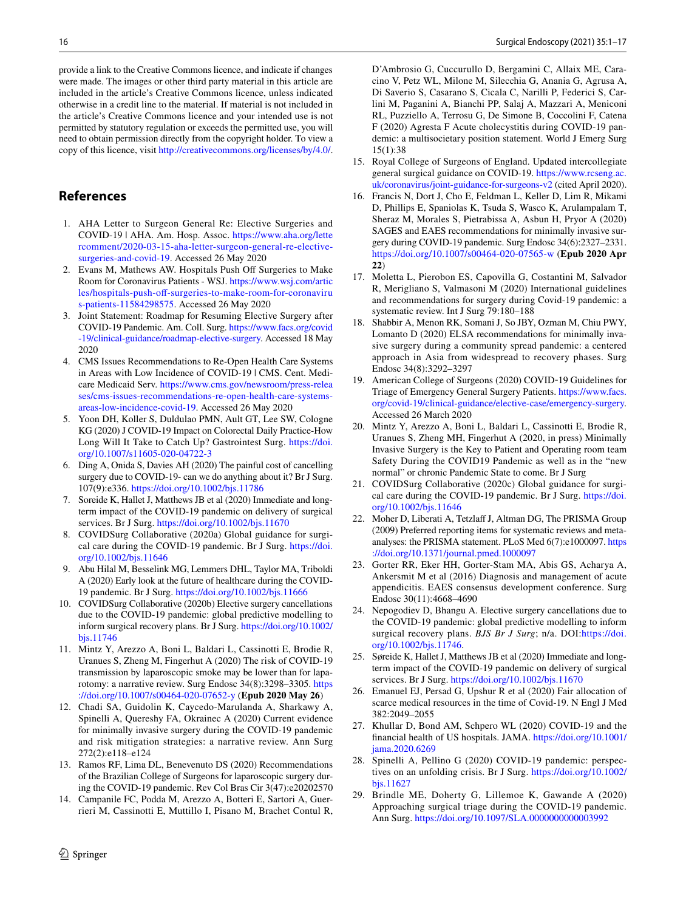provide a link to the Creative Commons licence, and indicate if changes were made. The images or other third party material in this article are included in the article's Creative Commons licence, unless indicated otherwise in a credit line to the material. If material is not included in the article's Creative Commons licence and your intended use is not permitted by statutory regulation or exceeds the permitted use, you will need to obtain permission directly from the copyright holder. To view a copy of this licence, visit <http://creativecommons.org/licenses/by/4.0/>.

# **References**

- <span id="page-15-0"></span>1. AHA Letter to Surgeon General Re: Elective Surgeries and COVID-19 | AHA. Am. Hosp. Assoc. [https://www.aha.org/lette](https://www.aha.org/lettercomment/2020-03-15-aha-letter-surgeon-general-re-elective-surgeries-and-covid-19) [rcomment/2020-03-15-aha-letter-surgeon-general-re-elective](https://www.aha.org/lettercomment/2020-03-15-aha-letter-surgeon-general-re-elective-surgeries-and-covid-19)[surgeries-and-covid-19.](https://www.aha.org/lettercomment/2020-03-15-aha-letter-surgeon-general-re-elective-surgeries-and-covid-19) Accessed 26 May 2020
- <span id="page-15-1"></span>2. Evans M, Mathews AW. Hospitals Push Off Surgeries to Make Room for Coronavirus Patients - WSJ. [https://www.wsj.com/artic](https://www.wsj.com/articles/hospitals-push-off-surgeries-to-make-room-for-coronavirus-patients-11584298575) les/hospitals-push-off-surgeries-to-make-room-for-coronaviru [s-patients-11584298575](https://www.wsj.com/articles/hospitals-push-off-surgeries-to-make-room-for-coronavirus-patients-11584298575). Accessed 26 May 2020
- <span id="page-15-2"></span>3. Joint Statement: Roadmap for Resuming Elective Surgery after COVID-19 Pandemic. Am. Coll. Surg. [https://www.facs.org/covid](https://www.facs.org/covid-19/clinical-guidance/roadmap-elective-surgery) [-19/clinical-guidance/roadmap-elective-surgery](https://www.facs.org/covid-19/clinical-guidance/roadmap-elective-surgery). Accessed 18 May 2020
- 4. CMS Issues Recommendations to Re-Open Health Care Systems in Areas with Low Incidence of COVID-19 | CMS. Cent. Medicare Medicaid Serv. [https://www.cms.gov/newsroom/press-relea](https://www.cms.gov/newsroom/press-releases/cms-issues-recommendations-re-open-health-care-systems-areas-low-incidence-covid-19) [ses/cms-issues-recommendations-re-open-health-care-systems](https://www.cms.gov/newsroom/press-releases/cms-issues-recommendations-re-open-health-care-systems-areas-low-incidence-covid-19)[areas-low-incidence-covid-19](https://www.cms.gov/newsroom/press-releases/cms-issues-recommendations-re-open-health-care-systems-areas-low-incidence-covid-19). Accessed 26 May 2020
- 5. Yoon DH, Koller S, Duldulao PMN, Ault GT, Lee SW, Cologne KG (2020) J COVID-19 Impact on Colorectal Daily Practice-How Long Will It Take to Catch Up? Gastrointest Surg. [https://doi.](https://doi.org/10.1007/s11605-020-04722-3) [org/10.1007/s11605-020-04722-3](https://doi.org/10.1007/s11605-020-04722-3)
- 6. Ding A, Onida S, Davies AH (2020) The painful cost of cancelling surgery due to COVID-19- can we do anything about it? Br J Surg. 107(9):e336.<https://doi.org/10.1002/bjs.11786>
- 7. Soreide K, Hallet J, Matthews JB et al (2020) Immediate and longterm impact of the COVID-19 pandemic on delivery of surgical services. Br J Surg.<https://doi.org/10.1002/bjs.11670>
- <span id="page-15-3"></span>8. COVIDSurg Collaborative (2020a) Global guidance for surgical care during the COVID-19 pandemic. Br J Surg. [https://doi.](https://doi.org/10.1002/bjs.11646) [org/10.1002/bjs.11646](https://doi.org/10.1002/bjs.11646)
- <span id="page-15-4"></span>9. Abu Hilal M, Besselink MG, Lemmers DHL, Taylor MA, Triboldi A (2020) Early look at the future of healthcare during the COVID-19 pandemic. Br J Surg. <https://doi.org/10.1002/bjs.11666>
- <span id="page-15-5"></span>10. COVIDSurg Collaborative (2020b) Elective surgery cancellations due to the COVID-19 pandemic: global predictive modelling to inform surgical recovery plans. Br J Surg. [https://doi.org/10.1002/](https://doi.org/10.1002/bjs.11746) [bjs.11746](https://doi.org/10.1002/bjs.11746)
- <span id="page-15-6"></span>11. Mintz Y, Arezzo A, Boni L, Baldari L, Cassinotti E, Brodie R, Uranues S, Zheng M, Fingerhut A (2020) The risk of COVID-19 transmission by laparoscopic smoke may be lower than for laparotomy: a narrative review. Surg Endosc 34(8):3298–3305. [https](https://doi.org/10.1007/s00464-020-07652-y) [://doi.org/10.1007/s00464-020-07652-y](https://doi.org/10.1007/s00464-020-07652-y) (**Epub 2020 May 26**)
- 12. Chadi SA, Guidolin K, Caycedo-Marulanda A, Sharkawy A, Spinelli A, Quereshy FA, Okrainec A (2020) Current evidence for minimally invasive surgery during the COVID-19 pandemic and risk mitigation strategies: a narrative review. Ann Surg 272(2):e118–e124
- 13. Ramos RF, Lima DL, Benevenuto DS (2020) Recommendations of the Brazilian College of Surgeons for laparoscopic surgery during the COVID-19 pandemic. Rev Col Bras Cir 3(47):e20202570
- <span id="page-15-7"></span>14. Campanile FC, Podda M, Arezzo A, Botteri E, Sartori A, Guerrieri M, Cassinotti E, Muttillo I, Pisano M, Brachet Contul R,
- <span id="page-15-8"></span>15. Royal College of Surgeons of England. Updated intercollegiate general surgical guidance on COVID-19. [https://www.rcseng.ac.](https://www.rcseng.ac.uk/coronavirus/joint-guidance-for-surgeons-v2) [uk/coronavirus/joint-guidance-for-surgeons-v2](https://www.rcseng.ac.uk/coronavirus/joint-guidance-for-surgeons-v2) (cited April 2020).
- <span id="page-15-9"></span>16. Francis N, Dort J, Cho E, Feldman L, Keller D, Lim R, Mikami D, Phillips E, Spaniolas K, Tsuda S, Wasco K, Arulampalam T, Sheraz M, Morales S, Pietrabissa A, Asbun H, Pryor A (2020) SAGES and EAES recommendations for minimally invasive surgery during COVID-19 pandemic. Surg Endosc 34(6):2327–2331. <https://doi.org/10.1007/s00464-020-07565-w> (**Epub 2020 Apr 22**)
- 17. Moletta L, Pierobon ES, Capovilla G, Costantini M, Salvador R, Merigliano S, Valmasoni M (2020) International guidelines and recommendations for surgery during Covid-19 pandemic: a systematic review. Int J Surg 79:180–188
- 18. Shabbir A, Menon RK, Somani J, So JBY, Ozman M, Chiu PWY, Lomanto D (2020) ELSA recommendations for minimally invasive surgery during a community spread pandemic: a centered approach in Asia from widespread to recovery phases. Surg Endosc 34(8):3292–3297
- <span id="page-15-10"></span>19. American College of Surgeons (2020) COVID‐19 Guidelines for Triage of Emergency General Surgery Patients. [https://www.facs.](https://www.facs.org/covid-19/clinical-guidance/elective-case/emergency-surgery) [org/covid-19/clinical-guidance/elective-case/emergency-surgery](https://www.facs.org/covid-19/clinical-guidance/elective-case/emergency-surgery). Accessed 26 March 2020
- <span id="page-15-11"></span>20. Mintz Y, Arezzo A, Boni L, Baldari L, Cassinotti E, Brodie R, Uranues S, Zheng MH, Fingerhut A (2020, in press) Minimally Invasive Surgery is the Key to Patient and Operating room team Safety During the COVID19 Pandemic as well as in the "new normal" or chronic Pandemic State to come. Br J Surg
- <span id="page-15-12"></span>21. COVIDSurg Collaborative (2020c) Global guidance for surgical care during the COVID-19 pandemic. Br J Surg. [https://doi.](https://doi.org/10.1002/bjs.11646) [org/10.1002/bjs.11646](https://doi.org/10.1002/bjs.11646)
- <span id="page-15-13"></span>22. Moher D, Liberati A, Tetzlaff J, Altman DG, The PRISMA Group (2009) Preferred reporting items for systematic reviews and metaanalyses: the PRISMA statement. PLoS Med 6(7):e1000097. [https](https://doi.org/10.1371/journal.pmed.1000097) [://doi.org/10.1371/journal.pmed.1000097](https://doi.org/10.1371/journal.pmed.1000097)
- <span id="page-15-14"></span>23. Gorter RR, Eker HH, Gorter-Stam MA, Abis GS, Acharya A, Ankersmit M et al (2016) Diagnosis and management of acute appendicitis. EAES consensus development conference. Surg Endosc 30(11):4668–4690
- <span id="page-15-15"></span>24. Nepogodiev D, Bhangu A. Elective surgery cancellations due to the COVID-19 pandemic: global predictive modelling to inform surgical recovery plans. *BJS Br J Surg*; n/a. DOI[:https://doi.](https://doi.org/10.1002/bjs.11746) [org/10.1002/bjs.11746.](https://doi.org/10.1002/bjs.11746)
- <span id="page-15-16"></span>25. Søreide K, Hallet J, Matthews JB et al (2020) Immediate and longterm impact of the COVID-19 pandemic on delivery of surgical services. Br J Surg. <https://doi.org/10.1002/bjs.11670>
- 26. Emanuel EJ, Persad G, Upshur R et al (2020) Fair allocation of scarce medical resources in the time of Covid-19. N Engl J Med 382:2049–2055
- 27. Khullar D, Bond AM, Schpero WL (2020) COVID-19 and the fnancial health of US hospitals. JAMA. [https://doi.org/10.1001/](https://doi.org/10.1001/jama.2020.6269) [jama.2020.6269](https://doi.org/10.1001/jama.2020.6269)
- 28. Spinelli A, Pellino G (2020) COVID-19 pandemic: perspectives on an unfolding crisis. Br J Surg. [https://doi.org/10.1002/](https://doi.org/10.1002/bjs.11627) [bjs.11627](https://doi.org/10.1002/bjs.11627)
- 29. Brindle ME, Doherty G, Lillemoe K, Gawande A (2020) Approaching surgical triage during the COVID-19 pandemic. Ann Surg.<https://doi.org/10.1097/SLA.0000000000003992>